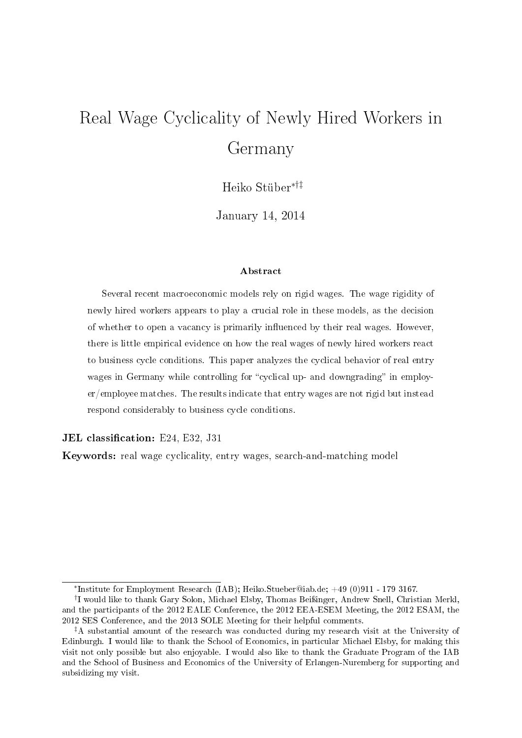# Real Wage Cyclicality of Newly Hired Workers in Germany

Heiko Stüber∗†‡

January 14, 2014

#### Abstract

Several recent macroeconomic models rely on rigid wages. The wage rigidity of newly hired workers appears to play a crucial role in these models, as the decision of whether to open a vacancy is primarily influenced by their real wages. However, there is little empirical evidence on how the real wages of newly hired workers react to business cycle conditions. This paper analyzes the cyclical behavior of real entry wages in Germany while controlling for "cyclical up- and downgrading" in employer/employee matches. The results indicate that entry wages are not rigid but instead respond considerably to business cycle conditions.

JEL classification: E24, E32, J31

Keywords: real wage cyclicality, entry wages, search-and-matching model

<sup>∗</sup> Institute for Employment Research (IAB); Heiko.Stueber@iab.de; +49 (0)911 - 179 3167.

<sup>&</sup>lt;sup>†</sup>I would like to thank Gary Solon, Michael Elsby, Thomas Beißinger, Andrew Snell, Christian Merkl, and the participants of the 2012 EALE Conference, the 2012 EEA-ESEM Meeting, the 2012 ESAM, the 2012 SES Conference, and the 2013 SOLE Meeting for their helpful comments.

<sup>‡</sup>A substantial amount of the research was conducted during my research visit at the University of Edinburgh. I would like to thank the School of Economics, in particular Michael Elsby, for making this visit not only possible but also enjoyable. I would also like to thank the Graduate Program of the IAB and the School of Business and Economics of the University of Erlangen-Nuremberg for supporting and subsidizing my visit.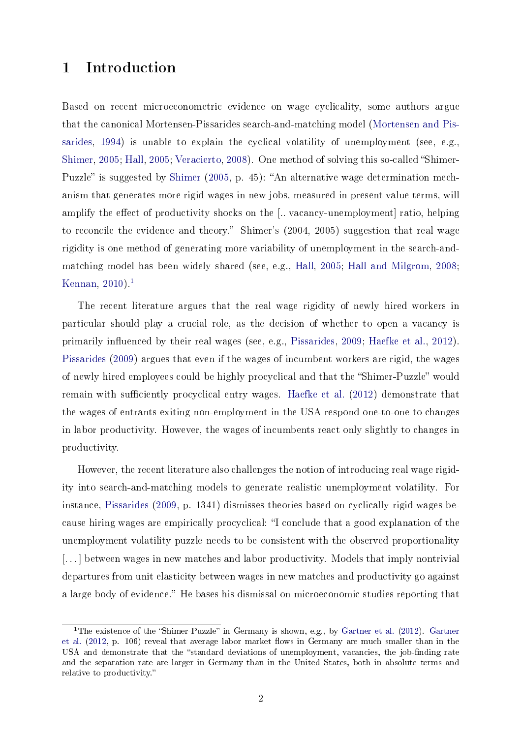## 1 Introduction

Based on recent microeconometric evidence on wage cyclicality, some authors argue that the canonical Mortensen-Pissarides search-and-matching model [\(Mortensen and Pis](#page-22-0)[sarides,](#page-22-0) [1994\)](#page-22-0) is unable to explain the cyclical volatility of unemployment (see, e.g., [Shimer,](#page-22-1) [2005;](#page-21-0) [Hall,](#page-21-0) 2005; [Veracierto,](#page-23-0) [2008\)](#page-23-0). One method of solving this so-called "Shimer-Puzzle" is suggested by [Shimer](#page-22-1) [\(2005,](#page-22-1) p. 45): "An alternative wage determination mechanism that generates more rigid wages in new jobs, measured in present value terms, will amplify the effect of productivity shocks on the [.. vacancy-unemployment] ratio, helping to reconcile the evidence and theory." Shimer's (2004, 2005) suggestion that real wage rigidity is one method of generating more variability of unemployment in the search-andmatching model has been widely shared (see, e.g., [Hall,](#page-21-0) [2005;](#page-21-0) [Hall and Milgrom,](#page-21-1) [2008;](#page-21-1) [Kennan,](#page-21-2) [2010\)](#page-21-2).<sup>[1](#page-1-0)</sup>

The recent literature argues that the real wage rigidity of newly hired workers in particular should play a crucial role, as the decision of whether to open a vacancy is primarily influenced by their real wages (see, e.g., [Pissarides,](#page-22-2) [2009;](#page-22-2) [Haefke et al.,](#page-21-3) [2012\)](#page-21-3). [Pissarides](#page-22-2) [\(2009\)](#page-22-2) argues that even if the wages of incumbent workers are rigid, the wages of newly hired employees could be highly procyclical and that the "Shimer-Puzzle" would remain with sufficiently procyclical entry wages. [Haefke et al.](#page-21-3)  $(2012)$  demonstrate that the wages of entrants exiting non-employment in the USA respond one-to-one to changes in labor productivity. However, the wages of incumbents react only slightly to changes in productivity.

However, the recent literature also challenges the notion of introducing real wage rigidity into search-and-matching models to generate realistic unemployment volatility. For instance, [Pissarides](#page-22-2) [\(2009,](#page-22-2) p. 1341) dismisses theories based on cyclically rigid wages because hiring wages are empirically procyclical: I conclude that a good explanation of the unemployment volatility puzzle needs to be consistent with the observed proportionality [...] between wages in new matches and labor productivity. Models that imply nontrivial departures from unit elasticity between wages in new matches and productivity go against a large body of evidence." He bases his dismissal on microeconomic studies reporting that

<span id="page-1-0"></span><sup>&</sup>lt;sup>1</sup>The existence of the "Shimer-Puzzle" in Germany is shown, e.g., by [Gartner et al.](#page-21-4) [\(2012\)](#page-21-4). [Gartner](#page-21-4) [et al.](#page-21-4) [\(2012,](#page-21-4) p. 106) reveal that average labor market flows in Germany are much smaller than in the USA and demonstrate that the "standard deviations of unemployment, vacancies, the job-finding rate and the separation rate are larger in Germany than in the United States, both in absolute terms and relative to productivity.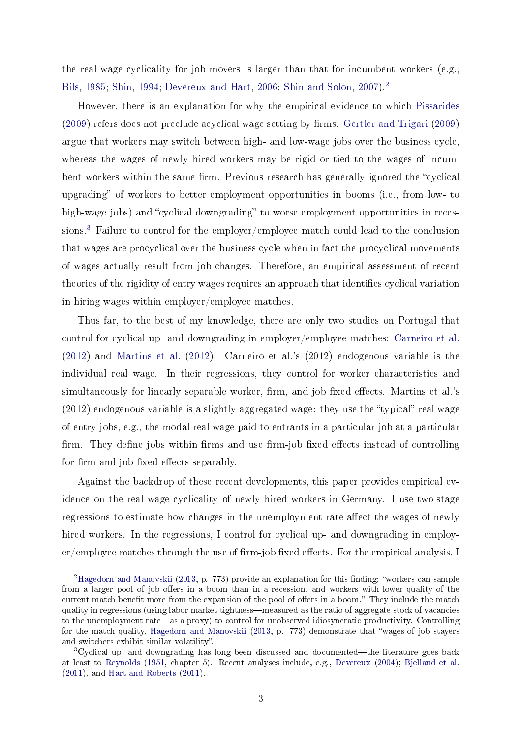the real wage cyclicality for job movers is larger than that for incumbent workers (e.g., [Bils,](#page-20-0) [1985;](#page-20-0) [Shin,](#page-22-3) [1994;](#page-22-3) [Devereux and Hart,](#page-20-1) [2006;](#page-20-1) [Shin and Solon,](#page-22-4) [2007\)](#page-22-4).[2](#page-2-0)

However, there is an explanation for why the empirical evidence to which [Pissarides](#page-22-2)  $(2009)$  refers does not preclude acyclical wage setting by firms. [Gertler and Trigari](#page-21-5)  $(2009)$ argue that workers may switch between high- and low-wage jobs over the business cycle, whereas the wages of newly hired workers may be rigid or tied to the wages of incumbent workers within the same firm. Previous research has generally ignored the "cyclical upgrading" of workers to better employment opportunities in booms (i.e., from low- to high-wage jobs) and "cyclical downgrading" to worse employment opportunities in recessions.[3](#page-2-1) Failure to control for the employer/employee match could lead to the conclusion that wages are procyclical over the business cycle when in fact the procyclical movements of wages actually result from job changes. Therefore, an empirical assessment of recent theories of the rigidity of entry wages requires an approach that identifies cyclical variation in hiring wages within employer/employee matches.

Thus far, to the best of my knowledge, there are only two studies on Portugal that control for cyclical up- and downgrading in employer/employee matches: [Carneiro et al.](#page-20-2) [\(2012\)](#page-20-2) and [Martins et al.](#page-22-5) [\(2012\)](#page-22-5). Carneiro et al.'s (2012) endogenous variable is the individual real wage. In their regressions, they control for worker characteristics and simultaneously for linearly separable worker, firm, and job fixed effects. Martins et al.'s  $(2012)$  endogenous variable is a slightly aggregated wage: they use the "typical" real wage of entry jobs, e.g., the modal real wage paid to entrants in a particular job at a particular firm. They define jobs within firms and use firm-job fixed effects instead of controlling for firm and job fixed effects separably.

Against the backdrop of these recent developments, this paper provides empirical evidence on the real wage cyclicality of newly hired workers in Germany. I use two-stage regressions to estimate how changes in the unemployment rate affect the wages of newly hired workers. In the regressions, I control for cyclical up- and downgrading in employ $er/emplovee$  matches through the use of firm-job fixed effects. For the empirical analysis, I

<span id="page-2-0"></span><sup>&</sup>lt;sup>2</sup>[Hagedorn and Manovskii](#page-21-6) [\(2013,](#page-21-6) p. 773) provide an explanation for this finding: "workers can sample from a larger pool of job offers in a boom than in a recession, and workers with lower quality of the current match benefit more from the expansion of the pool of offers in a boom." They include the match quality in regressions (using labor market tightness—measured as the ratio of aggregate stock of vacancies to the unemployment rate—as a proxy) to control for unobserved idiosyncratic productivity. Controlling for the match quality, [Hagedorn and Manovskii](#page-21-6) [\(2013,](#page-21-6) p. 773) demonstrate that wages of job stayers and switchers exhibit similar volatility".

<span id="page-2-1"></span> $3Cyclical up- and downgrading has long been discussed and documented—the literature goes back$ at least to [Reynolds](#page-22-6) [\(1951,](#page-22-6) chapter 5). Recent analyses include, e.g., [Devereux](#page-20-3) [\(2004\)](#page-20-3); [Bjelland et al.](#page-20-4) [\(2011\)](#page-20-4), and [Hart and Roberts](#page-21-7) [\(2011\)](#page-21-7).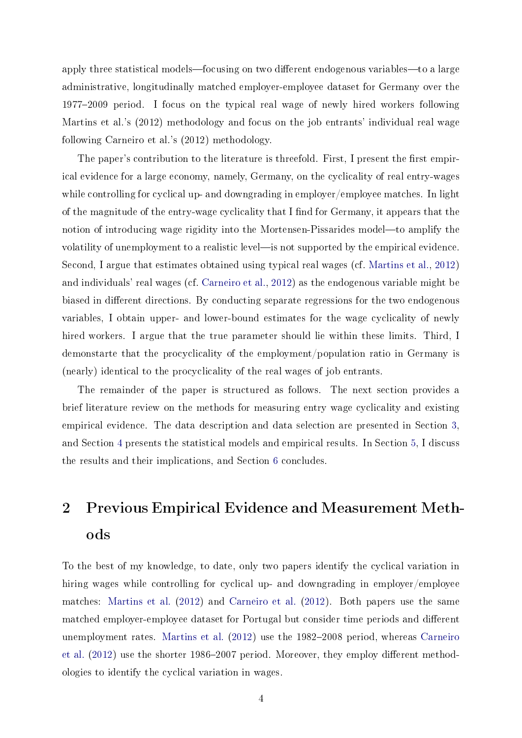apply three statistical models—focusing on two different endogenous variables—to a large administrative, longitudinally matched employer-employee dataset for Germany over the 19772009 period. I focus on the typical real wage of newly hired workers following Martins et al.'s (2012) methodology and focus on the job entrants' individual real wage following Carneiro et al.'s (2012) methodology.

The paper's contribution to the literature is threefold. First, I present the first empirical evidence for a large economy, namely, Germany, on the cyclicality of real entry-wages while controlling for cyclical up- and downgrading in employer/employee matches. In light of the magnitude of the entry-wage cyclicality that I find for Germany, it appears that the notion of introducing wage rigidity into the Mortensen-Pissarides model—to amplify the volatility of unemployment to a realistic level—is not supported by the empirical evidence. Second, I argue that estimates obtained using typical real wages (cf. [Martins et al.,](#page-22-5) [2012\)](#page-22-5) and individuals' real wages (cf. [Carneiro et al.,](#page-20-2) [2012\)](#page-20-2) as the endogenous variable might be biased in different directions. By conducting separate regressions for the two endogenous variables, I obtain upper- and lower-bound estimates for the wage cyclicality of newly hired workers. I argue that the true parameter should lie within these limits. Third, I demonstarte that the procyclicality of the employment/population ratio in Germany is (nearly) identical to the procyclicality of the real wages of job entrants.

The remainder of the paper is structured as follows. The next section provides a brief literature review on the methods for measuring entry wage cyclicality and existing empirical evidence. The data description and data selection are presented in Section [3,](#page-4-0) and Section [4](#page-9-0) presents the statistical models and empirical results. In Section [5,](#page-14-0) I discuss the results and their implications, and Section [6](#page-18-0) concludes.

# 2 Previous Empirical Evidence and Measurement Methods

To the best of my knowledge, to date, only two papers identify the cyclical variation in hiring wages while controlling for cyclical up- and downgrading in employer/employee matches: [Martins et al.](#page-22-5) [\(2012\)](#page-22-5) and [Carneiro et al.](#page-20-2) [\(2012\)](#page-20-2). Both papers use the same matched employer-employee dataset for Portugal but consider time periods and different unemployment rates. [Martins et al.](#page-22-5)  $(2012)$  use the 1982–2008 period, whereas [Carneiro](#page-20-2) [et al.](#page-20-2)  $(2012)$  use the shorter 1986–2007 period. Moreover, they employ different methodologies to identify the cyclical variation in wages.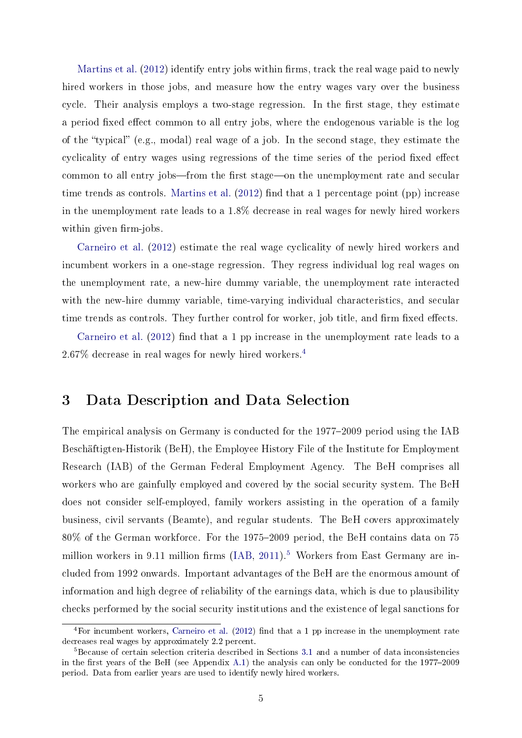[Martins et al.](#page-22-5)  $(2012)$  identify entry jobs within firms, track the real wage paid to newly hired workers in those jobs, and measure how the entry wages vary over the business cycle. Their analysis employs a two-stage regression. In the first stage, they estimate a period fixed effect common to all entry jobs, where the endogenous variable is the log of the "typical" (e.g., modal) real wage of a job. In the second stage, they estimate the cyclicality of entry wages using regressions of the time series of the period fixed effect common to all entry jobs—from the first stage—on the unemployment rate and secular time trends as controls. [Martins et al.](#page-22-5)  $(2012)$  find that a 1 percentage point (pp) increase in the unemployment rate leads to a 1.8% decrease in real wages for newly hired workers within given firm-jobs.

[Carneiro et al.](#page-20-2) [\(2012\)](#page-20-2) estimate the real wage cyclicality of newly hired workers and incumbent workers in a one-stage regression. They regress individual log real wages on the unemployment rate, a new-hire dummy variable, the unemployment rate interacted with the new-hire dummy variable, time-varying individual characteristics, and secular time trends as controls. They further control for worker, job title, and firm fixed effects.

[Carneiro et al.](#page-20-2)  $(2012)$  find that a 1 pp increase in the unemployment rate leads to a 2.67% decrease in real wages for newly hired workers.[4](#page-4-1)

## <span id="page-4-0"></span>3 Data Description and Data Selection

The empirical analysis on Germany is conducted for the 1977–2009 period using the IAB Beschäftigten-Historik (BeH), the Employee History File of the Institute for Employment Research (IAB) of the German Federal Employment Agency. The BeH comprises all workers who are gainfully employed and covered by the social security system. The BeH does not consider self-employed, family workers assisting in the operation of a family business, civil servants (Beamte), and regular students. The BeH covers approximately 80% of the German workforce. For the 1975–2009 period, the BeH contains data on 75 million workers in 9.11 million firms  $(IAB, 2011).<sup>5</sup>$  $(IAB, 2011).<sup>5</sup>$  $(IAB, 2011).<sup>5</sup>$  $(IAB, 2011).<sup>5</sup>$  $(IAB, 2011).<sup>5</sup>$  $(IAB, 2011).<sup>5</sup>$  Workers from East Germany are included from 1992 onwards. Important advantages of the BeH are the enormous amount of information and high degree of reliability of the earnings data, which is due to plausibility checks performed by the social security institutions and the existence of legal sanctions for

<span id="page-4-1"></span> $4$ For incumbent workers, [Carneiro et al.](#page-20-2) [\(2012\)](#page-20-2) find that a 1 pp increase in the unemployment rate decreases real wages by approximately 2.2 percent.

<span id="page-4-2"></span><sup>5</sup>Because of certain selection criteria described in Sections [3.1](#page-5-0) and a number of data inconsistencies in the first years of the BeH (see Appendix [A.1\)](#page-24-0) the analysis can only be conducted for the  $1977-2009$ period. Data from earlier years are used to identify newly hired workers.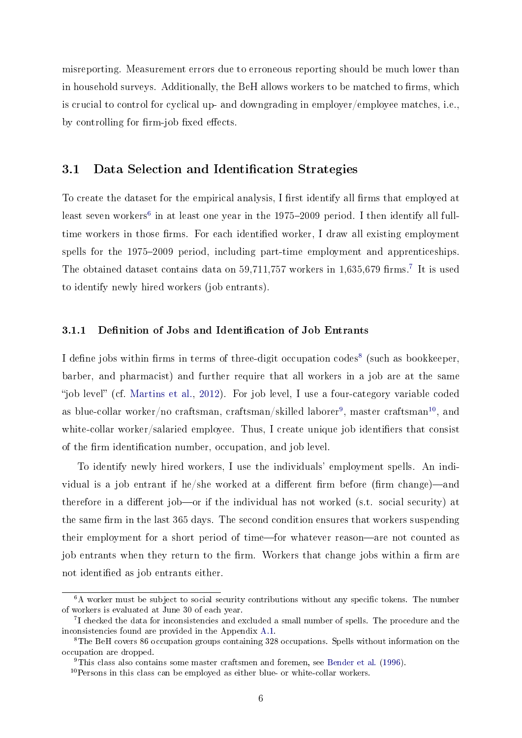misreporting. Measurement errors due to erroneous reporting should be much lower than in household surveys. Additionally, the BeH allows workers to be matched to firms, which is crucial to control for cyclical up- and downgrading in employer/employee matches, i.e., by controlling for firm-job fixed effects.

#### <span id="page-5-0"></span>3.1 Data Selection and Identification Strategies

To create the dataset for the empirical analysis, I first identify all firms that employed at least seven workers $^6$  $^6$  in at least one year in the 1975–2009 period. I then identify all fulltime workers in those firms. For each identified worker, I draw all existing employment spells for the 1975-2009 period, including part-time employment and apprenticeships. The obtained dataset contains data on  $59,711,757$  $59,711,757$  $59,711,757$  workers in  $1,635,679$  firms.<sup>7</sup> It is used to identify newly hired workers (job entrants).

#### 3.1.1 Definition of Jobs and Identification of Job Entrants

I define jobs within firms in terms of three-digit occupation codes<sup>[8](#page-5-3)</sup> (such as bookkeeper, barber, and pharmacist) and further require that all workers in a job are at the same "job level" (cf. [Martins et al.,](#page-22-5) [2012\)](#page-22-5). For job level, I use a four-category variable coded as blue-collar worker/no craftsman, craftsman/skilled laborer $^9$  $^9$ , master craftsman $^{10}$  $^{10}$  $^{10}$ , and white-collar worker/salaried employee. Thus, I create unique job identifiers that consist of the firm identification number, occupation, and job level.

To identify newly hired workers, I use the individuals' employment spells. An individual is a job entrant if he/she worked at a different firm before (firm change)—and therefore in a different job—or if the individual has not worked (s.t. social security) at the same firm in the last 365 days. The second condition ensures that workers suspending their employment for a short period of time—for whatever reason—are not counted as job entrants when they return to the firm. Workers that change jobs within a firm are not identified as job entrants either.

<span id="page-5-1"></span> $6A$  worker must be subject to social security contributions without any specific tokens. The number of workers is evaluated at June 30 of each year.

<span id="page-5-2"></span><sup>&</sup>lt;sup>7</sup>I checked the data for inconsistencies and excluded a small number of spells. The procedure and the inconsistencies found are provided in the Appendix [A.1.](#page-24-0)

<span id="page-5-3"></span><sup>8</sup>The BeH covers 86 occupation groups containing 328 occupations. Spells without information on the occupation are dropped.

<span id="page-5-4"></span><sup>9</sup>This class also contains some master craftsmen and foremen, see [Bender et al.](#page-20-5) [\(1996\)](#page-20-5).

<span id="page-5-5"></span> $10$ Persons in this class can be employed as either blue- or white-collar workers.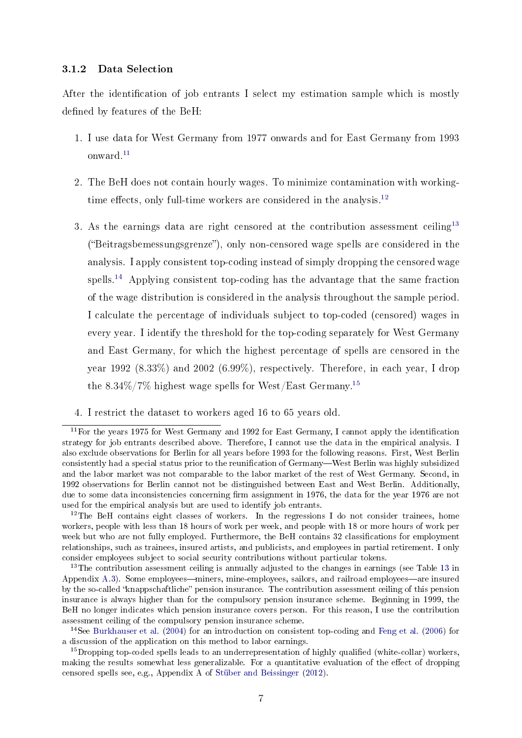#### <span id="page-6-5"></span>3.1.2 Data Selection

After the identification of job entrants I select my estimation sample which is mostly defined by features of the BeH:

- 1. I use data for West Germany from 1977 onwards and for East Germany from 1993 onward.[11](#page-6-0)
- 2. The BeH does not contain hourly wages. To minimize contamination with working-time effects, only full-time workers are considered in the analysis.<sup>[12](#page-6-1)</sup>
- 3. As the earnings data are right censored at the contribution assessment ceiling<sup>[13](#page-6-2)</sup> ("Beitragsbemessungsgrenze"), only non-censored wage spells are considered in the analysis. I apply consistent top-coding instead of simply dropping the censored wage spells.<sup>[14](#page-6-3)</sup> Applying consistent top-coding has the advantage that the same fraction of the wage distribution is considered in the analysis throughout the sample period. I calculate the percentage of individuals subject to top-coded (censored) wages in every year. I identify the threshold for the top-coding separately for West Germany and East Germany, for which the highest percentage of spells are censored in the year 1992 (8.33%) and 2002 (6.99%), respectively. Therefore, in each year, I drop the  $8.34\%/7\%$  highest wage spells for West/East Germany.<sup>[15](#page-6-4)</sup>
- 4. I restrict the dataset to workers aged 16 to 65 years old.

<span id="page-6-0"></span><sup>11</sup>For the years 1975 for West Germany and 1992 for East Germany, I cannot apply the identication strategy for job entrants described above. Therefore, I cannot use the data in the empirical analysis. I also exclude observations for Berlin for all years before 1993 for the following reasons. First, West Berlin consistently had a special status prior to the reunification of Germany—West Berlin was highly subsidized and the labor market was not comparable to the labor market of the rest of West Germany. Second, in 1992 observations for Berlin cannot not be distinguished between East and West Berlin. Additionally, due to some data inconsistencies concerning firm assignment in 1976, the data for the year 1976 are not used for the empirical analysis but are used to identify job entrants.

<span id="page-6-1"></span> $12$ The BeH contains eight classes of workers. In the regressions I do not consider trainees, home workers, people with less than 18 hours of work per week, and people with 18 or more hours of work per week but who are not fully employed. Furthermore, the BeH contains 32 classifications for employment relationships, such as trainees, insured artists, and publicists, and employees in partial retirement. I only consider employees subject to social security contributions without particular tokens.

<span id="page-6-2"></span><sup>&</sup>lt;sup>[13](#page-29-0)</sup>The contribution assessment ceiling is annually adjusted to the changes in earnings (see Table 13 in Appendix [A.3\)](#page-27-0). Some employees—miners, mine-employees, sailors, and railroad employees—are insured by the so-called "knappschaftliche" pension insurance. The contribution assessment ceiling of this pension insurance is always higher than for the compulsory pension insurance scheme. Beginning in 1999, the BeH no longer indicates which pension insurance covers person. For this reason, I use the contribution assessment ceiling of the compulsory pension insurance scheme.

<span id="page-6-3"></span><sup>14</sup>See [Burkhauser et al.](#page-20-6) [\(2004\)](#page-20-6) for an introduction on consistent top-coding and [Feng et al.](#page-21-9) [\(2006\)](#page-21-9) for a discussion of the application on this method to labor earnings.

<span id="page-6-4"></span><sup>&</sup>lt;sup>15</sup>Dropping top-coded spells leads to an underrepresentation of highly qualified (white-collar) workers, making the results somewhat less generalizable. For a quantitative evaluation of the effect of dropping censored spells see, e.g., Appendix A of [Stüber and Beissinger](#page-23-1) [\(2012\)](#page-23-1).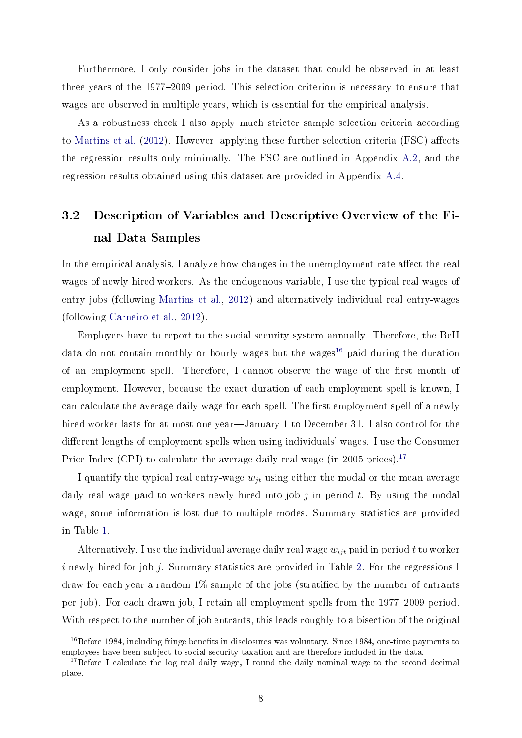Furthermore, I only consider jobs in the dataset that could be observed in at least three years of the 1977–2009 period. This selection criterion is necessary to ensure that wages are observed in multiple years, which is essential for the empirical analysis.

As a robustness check I also apply much stricter sample selection criteria according to [Martins et al.](#page-22-5)  $(2012)$ . However, applying these further selection criteria (FSC) affects the regression results only minimally. The FSC are outlined in Appendix [A.2,](#page-25-0) and the regression results obtained using this dataset are provided in Appendix [A.4.](#page-30-0)

## <span id="page-7-2"></span>3.2 Description of Variables and Descriptive Overview of the Final Data Samples

In the empirical analysis, I analyze how changes in the unemployment rate affect the real wages of newly hired workers. As the endogenous variable, I use the typical real wages of entry jobs (following [Martins et al.,](#page-22-5) [2012\)](#page-22-5) and alternatively individual real entry-wages (following [Carneiro et al.,](#page-20-2) [2012\)](#page-20-2).

Employers have to report to the social security system annually. Therefore, the BeH data do not contain monthly or hourly wages but the wages<sup>[16](#page-7-0)</sup> paid during the duration of an employment spell. Therefore, I cannot observe the wage of the first month of employment. However, because the exact duration of each employment spell is known, I can calculate the average daily wage for each spell. The first employment spell of a newly hired worker lasts for at most one year—January 1 to December 31. I also control for the different lengths of employment spells when using individuals' wages. I use the Consumer Price Index (CPI) to calculate the average daily real wage (in 2005 prices).<sup>[17](#page-7-1)</sup>

I quantify the typical real entry-wage  $w_{it}$  using either the modal or the mean average daily real wage paid to workers newly hired into job  $j$  in period  $t$ . By using the modal wage, some information is lost due to multiple modes. Summary statistics are provided in Table [1.](#page-8-0)

Alternatively, I use the individual average daily real wage  $w_{ijt}$  paid in period t to worker i newly hired for job j. Summary statistics are provided in Table [2.](#page-8-1) For the regressions I draw for each year a random  $1\%$  sample of the jobs (stratified by the number of entrants per job). For each drawn job, I retain all employment spells from the 1977-2009 period. With respect to the number of job entrants, this leads roughly to a bisection of the original

<span id="page-7-0"></span> $16B$  16Before 1984, including fringe benefits in disclosures was voluntary. Since 1984, one-time payments to employees have been subject to social security taxation and are therefore included in the data.

<span id="page-7-1"></span><sup>&</sup>lt;sup>17</sup>Before I calculate the log real daily wage, I round the daily nominal wage to the second decimal place.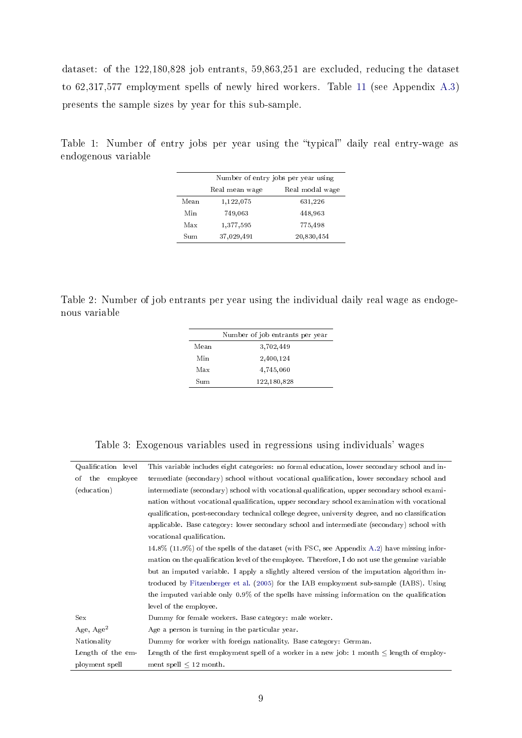dataset: of the 122,180,828 job entrants, 59,863,251 are excluded, reducing the dataset to 62,317,577 employment spells of newly hired workers. Table [11](#page-27-1) (see Appendix [A.3\)](#page-27-0) presents the sample sizes by year for this sub-sample.

|                                   | Number of entry jobs per year using |            |  |  |
|-----------------------------------|-------------------------------------|------------|--|--|
| Real modal wage<br>Real mean wage |                                     |            |  |  |
| Mean                              | 1,122,075                           | 631,226    |  |  |
| Min                               | 749,063                             | 448,963    |  |  |
| Max                               | 1,377,595                           | 775,498    |  |  |
| Sum                               | 37,029,491                          | 20,830,454 |  |  |

<span id="page-8-0"></span>Table 1: Number of entry jobs per year using the "typical" daily real entry-wage as endogenous variable

<span id="page-8-1"></span>Table 2: Number of job entrants per year using the individual daily real wage as endogenous variable

|      | Number of job entrants per year |
|------|---------------------------------|
| Mean | 3,702,449                       |
| Min  | 2,400,124                       |
| Max  | 4,745,060                       |
| Sum  | 122,180,828                     |

Table 3: Exogenous variables used in regressions using individuals' wages

<span id="page-8-2"></span>

| Qualification level | This variable includes eight categories: no formal education, lower secondary school and in-     |
|---------------------|--------------------------------------------------------------------------------------------------|
| of the employee     | termediate (secondary) school without vocational qualification, lower secondary school and       |
| (education)         | intermediate (secondary) school with vocational qualification, upper secondary school exami-     |
|                     | nation without vocational qualification, upper secondary school examination with vocational      |
|                     | qualification, post-secondary technical college degree, university degree, and no classification |
|                     | applicable. Base category: lower secondary school and intermediate (secondary) school with       |
|                     | vocational qualification.                                                                        |
|                     | $14.8\%$ (11.9%) of the spells of the dataset (with FSC, see Appendix A.2) have missing infor-   |
|                     | mation on the qualification level of the employee. Therefore, I do not use the genuine variable  |
|                     | but an imputed variable. I apply a slightly altered version of the imputation algorithm in-      |
|                     | troduced by Fitzenberger et al. (2005) for the IAB employment sub-sample (IABS). Using           |
|                     | the imputed variable only 0.9% of the spells have missing information on the qualification       |
|                     | level of the employee.                                                                           |
| <b>Sex</b>          | Dummy for female workers. Base category: male worker.                                            |
| Age, $Age^2$        | Age a person is turning in the particular year.                                                  |
| Nationality         | Dummy for worker with foreign nationality. Base category: German.                                |
| Length of the em-   | Length of the first employment spell of a worker in a new job: 1 month $\leq$ length of employ-  |
| ployment spell      | ment spell $\leq 12$ month.                                                                      |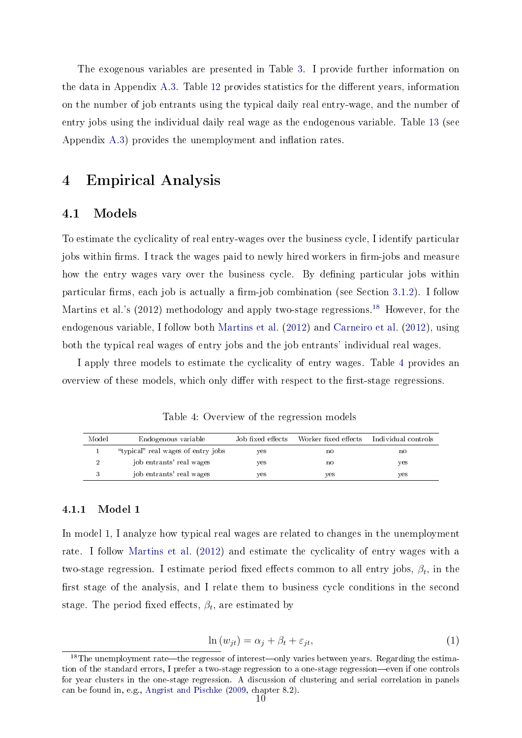The exogenous variables are presented in Table [3.](#page-8-2) I provide further information on the data in Appendix [A.3.](#page-27-0) Table [12](#page-28-0) provides statistics for the different years, information on the number of job entrants using the typical daily real entry-wage, and the number of entry jobs using the individual daily real wage as the endogenous variable. Table [13](#page-29-0) (see Appendix  $(A.3)$  $(A.3)$  provides the unemployment and inflation rates.

## <span id="page-9-0"></span>4 Empirical Analysis

#### 4.1 Models

To estimate the cyclicality of real entry-wages over the business cycle, I identify particular jobs within firms. I track the wages paid to newly hired workers in firm-jobs and measure how the entry wages vary over the business cycle. By defining particular jobs within particular firms, each job is actually a firm-job combination (see Section  $3.1.2$ ). I follow Martins et al.'s (2012) methodology and apply two-stage regressions.<sup>[18](#page-9-1)</sup> However, for the endogenous variable, I follow both [Martins et al.](#page-22-5) [\(2012\)](#page-22-5) and [Carneiro et al.](#page-20-2) [\(2012\)](#page-20-2), using both the typical real wages of entry jobs and the job entrants' individual real wages.

I apply three models to estimate the cyclicality of entry wages. Table [4](#page-9-2) provides an overview of these models, which only differ with respect to the first-stage regressions.

Table 4: Overview of the regression models

<span id="page-9-2"></span>

| Model | Endogenous variable                | Job fixed effects | Worker fixed effects | Individual controls |
|-------|------------------------------------|-------------------|----------------------|---------------------|
|       | "typical" real wages of entry jobs | yes               | no                   | no                  |
|       | job entrants' real wages           | yes               | no                   | ves                 |
|       | job entrants' real wages           | yes               | yes                  | ves                 |

#### 4.1.1 Model 1

In model 1, I analyze how typical real wages are related to changes in the unemployment rate. I follow [Martins et al.](#page-22-5) [\(2012\)](#page-22-5) and estimate the cyclicality of entry wages with a two-stage regression. I estimate period fixed effects common to all entry jobs,  $\beta_t$ , in the first stage of the analysis, and I relate them to business cycle conditions in the second stage. The period fixed effects,  $\beta_t$ , are estimated by

$$
\ln(w_{jt}) = \alpha_j + \beta_t + \varepsilon_{jt},\tag{1}
$$

<span id="page-9-3"></span><span id="page-9-1"></span> $18$ The unemployment rate—the regressor of interest—only varies between years. Regarding the estimation of the standard errors, I prefer a two-stage regression to a one-stage regression—even if one controls for year clusters in the one-stage regression. A discussion of clustering and serial correlation in panels can be found in, e.g., [Angrist and Pischke](#page-20-7) [\(2009,](#page-20-7) chapter 8.2).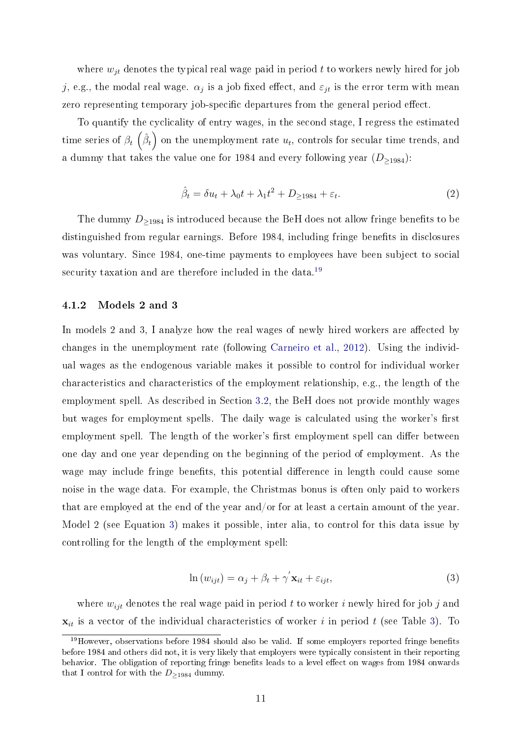where  $w_{jt}$  denotes the typical real wage paid in period t to workers newly hired for job j, e.g., the modal real wage.  $\alpha_j$  is a job fixed effect, and  $\varepsilon_{jt}$  is the error term with mean zero representing temporary job-specific departures from the general period effect.

<span id="page-10-2"></span>To quantify the cyclicality of entry wages, in the second stage, I regress the estimated time series of  $\beta_t$   $\left(\hat{\beta}_t\right)$  on the unemployment rate  $u_t$ , controls for secular time trends, and a dummy that takes the value one for 1984 and every following year  $(D_{\geq 1984})$ :

$$
\hat{\beta}_t = \delta u_t + \lambda_0 t + \lambda_1 t^2 + D_{\ge 1984} + \varepsilon_t.
$$
\n(2)

The dummy  $D_{\geq 1984}$  is introduced because the BeH does not allow fringe benefits to be distinguished from regular earnings. Before 1984, including fringe benefits in disclosures was voluntary. Since 1984, one-time payments to employees have been subject to social security taxation and are therefore included in the data.<sup>[19](#page-10-0)</sup>

#### 4.1.2 Models 2 and 3

In models 2 and 3, I analyze how the real wages of newly hired workers are affected by changes in the unemployment rate (following [Carneiro et al.,](#page-20-2) [2012\)](#page-20-2). Using the individual wages as the endogenous variable makes it possible to control for individual worker characteristics and characteristics of the employment relationship, e.g., the length of the employment spell. As described in Section [3.2,](#page-7-2) the BeH does not provide monthly wages but wages for employment spells. The daily wage is calculated using the worker's first employment spell. The length of the worker's first employment spell can differ between one day and one year depending on the beginning of the period of employment. As the wage may include fringe benefits, this potential difference in length could cause some noise in the wage data. For example, the Christmas bonus is often only paid to workers that are employed at the end of the year and/or for at least a certain amount of the year. Model 2 (see Equation [3\)](#page-10-1) makes it possible, inter alia, to control for this data issue by controlling for the length of the employment spell:

$$
\ln(w_{ijt}) = \alpha_j + \beta_t + \gamma' \mathbf{x}_{it} + \varepsilon_{ijt},\tag{3}
$$

<span id="page-10-1"></span>where  $w_{ijt}$  denotes the real wage paid in period t to worker i newly hired for job j and  $\mathbf{x}_{it}$  is a vector of the individual characteristics of worker i in period t (see Table [3\)](#page-8-2). To

<span id="page-10-0"></span><sup>&</sup>lt;sup>19</sup>However, observations before 1984 should also be valid. If some employers reported fringe benefits before 1984 and others did not, it is very likely that employers were typically consistent in their reporting behavior. The obligation of reporting fringe benefits leads to a level effect on wages from 1984 onwards that I control for with the  $D_{>1984}$  dummy.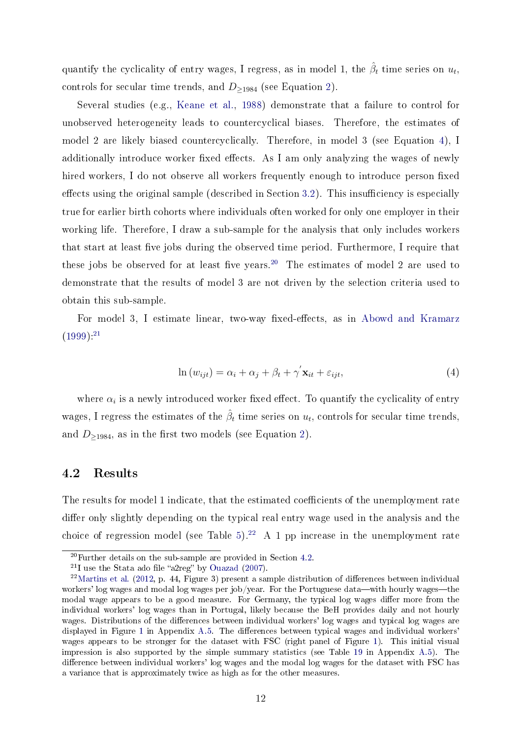quantify the cyclicality of entry wages, I regress, as in model 1, the  $\hat{\beta}_t$  time series on  $u_t$ , controls for secular time trends, and  $D_{\geq 1984}$  (see Equation [2\)](#page-10-2).

Several studies (e.g., [Keane et al.,](#page-21-11) [1988\)](#page-21-11) demonstrate that a failure to control for unobserved heterogeneity leads to countercyclical biases. Therefore, the estimates of model 2 are likely biased countercyclically. Therefore, in model 3 (see Equation [4\)](#page-11-0), I additionally introduce worker fixed effects. As I am only analyzing the wages of newly hired workers, I do not observe all workers frequently enough to introduce person fixed effects using the original sample (described in Section [3.2\)](#page-7-2). This insufficiency is especially true for earlier birth cohorts where individuals often worked for only one employer in their working life. Therefore, I draw a sub-sample for the analysis that only includes workers that start at least five jobs during the observed time period. Furthermore, I require that these jobs be observed for at least five years.<sup>[20](#page-11-1)</sup> The estimates of model 2 are used to demonstrate that the results of model 3 are not driven by the selection criteria used to obtain this sub-sample.

<span id="page-11-0"></span>For model 3, I estimate linear, two-way fixed-effects, as in [Abowd and Kramarz](#page-20-8)  $(1999)^{.21}$  $(1999)^{.21}$  $(1999)^{.21}$  $(1999)^{.21}$ 

$$
\ln(w_{ijt}) = \alpha_i + \alpha_j + \beta_t + \gamma' \mathbf{x}_{it} + \varepsilon_{ijt},\tag{4}
$$

where  $\alpha_i$  is a newly introduced worker fixed effect. To quantify the cyclicality of entry wages, I regress the estimates of the  $\hat{\beta}_t$  time series on  $u_t$ , controls for secular time trends, and  $D_{\geq 1984}$ , as in the first two models (see Equation [2\)](#page-10-2).

#### <span id="page-11-4"></span>4.2 Results

The results for model 1 indicate, that the estimated coefficients of the unemployment rate differ only slightly depending on the typical real entry wage used in the analysis and the choice of regression model (see Table [5\)](#page-12-0).<sup>[22](#page-11-3)</sup> A 1 pp increase in the unemployment rate

<span id="page-11-1"></span><sup>20</sup>Further details on the sub-sample are provided in Section [4.2.](#page-11-4)

<span id="page-11-3"></span><span id="page-11-2"></span> $21$ I use the Stata ado file "a2reg" by [Ouazad](#page-22-7) [\(2007\)](#page-22-7).

 $22$ [Martins et al.](#page-22-5) [\(2012,](#page-22-5) p. 44, Figure 3) present a sample distribution of differences between individual workers' log wages and modal log wages per job/year. For the Portuguese data—with hourly wages—the modal wage appears to be a good measure. For Germany, the typical log wages differ more from the individual workers' log wages than in Portugal, likely because the BeH provides daily and not hourly wages. Distributions of the differences between individual workers' log wages and typical log wages are displayed in Figure [1](#page-33-0) in Appendix [A.5.](#page-33-1) The differences between typical wages and individual workers' wages appears to be stronger for the dataset with FSC (right panel of Figure [1\)](#page-33-0). This initial visual impression is also supported by the simple summary statistics (see Table [19](#page-33-2) in Appendix [A.5\)](#page-33-1). The difference between individual workers' log wages and the modal log wages for the dataset with FSC has a variance that is approximately twice as high as for the other measures.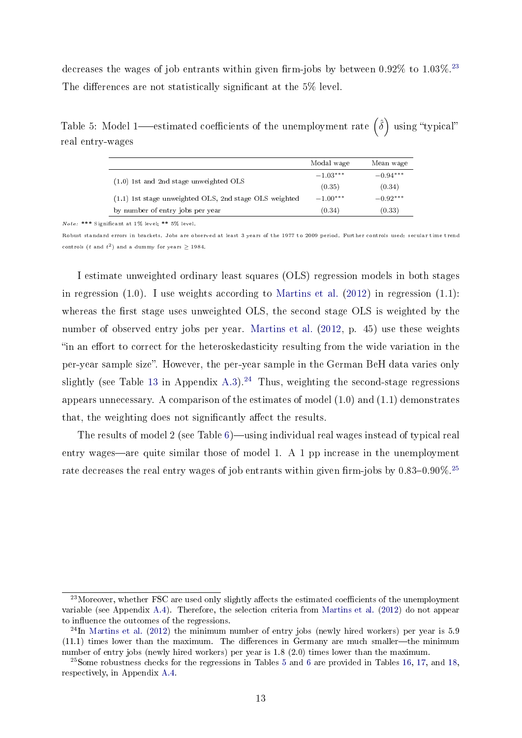decreases the wages of job entrants within given firm-jobs by between  $0.92\%$  to  $1.03\%$ .<sup>[23](#page-12-1)</sup> The differences are not statistically significant at the 5% level.

<span id="page-12-0"></span>Table 5: Model 1—estimated coefficients of the unemployment rate  $\hat{(\delta)}$  using "typical" real entry-wages

|                                                          | Modal wage                     | Mean wage  |
|----------------------------------------------------------|--------------------------------|------------|
|                                                          | $-1.03***$                     | $-0.94***$ |
| $(1.0)$ 1st and 2nd stage unweighted OLS                 | (0.35)<br>$-1.00***$<br>(0.34) | (0.34)     |
| $(1.1)$ 1st stage unweighted OLS, 2nd stage OLS weighted |                                | $-0.92***$ |
| by number of entry jobs per year                         |                                | (0.33)     |

Note: \*\*\* Signicant at 1% level; \*\* 5% level.

Robust standard errors in brackets. Jobs are observed at least 3 years of the 1977 to 2009 period. Further controls used: secular time trend controls (t and  $t^2$ ) and a dummy for years  $\geq$  1984.

I estimate unweighted ordinary least squares (OLS) regression models in both stages in regression  $(1.0)$ . I use weights according to [Martins et al.](#page-22-5)  $(2012)$  in regression  $(1.1)$ : whereas the first stage uses unweighted OLS, the second stage OLS is weighted by the number of observed entry jobs per year. [Martins et al.](#page-22-5) [\(2012,](#page-22-5) p. 45) use these weights "in an effort to correct for the heteroskedasticity resulting from the wide variation in the per-year sample size". However, the per-year sample in the German BeH data varies only slightly (see Table [13](#page-29-0) in Appendix [A.3\)](#page-27-0).<sup>[24](#page-12-2)</sup> Thus, weighting the second-stage regressions appears unnecessary. A comparison of the estimates of model (1.0) and (1.1) demonstrates that, the weighting does not significantly affect the results.

The results of model 2 (see Table  $6$ )—using individual real wages instead of typical real entry wages—are quite similar those of model 1. A 1 pp increase in the unemployment rate decreases the real entry wages of job entrants within given firm-jobs by  $0.83-0.90\%.^{25}$  $0.83-0.90\%.^{25}$  $0.83-0.90\%.^{25}$ 

<span id="page-12-1"></span> $^{23}$ Moreover, whether FSC are used only slightly affects the estimated coefficients of the unemployment variable (see Appendix [A.4\)](#page-30-0). Therefore, the selection criteria from [Martins et al.](#page-22-5) [\(2012\)](#page-22-5) do not appear to influence the outcomes of the regressions.

<span id="page-12-2"></span><sup>&</sup>lt;sup>24</sup>In [Martins et al.](#page-22-5) [\(2012\)](#page-22-5) the minimum number of entry jobs (newly hired workers) per year is 5.9  $(11.1)$  times lower than the maximum. The differences in Germany are much smaller—the minimum number of entry jobs (newly hired workers) per year is 1.8 (2.0) times lower than the maximum.

<span id="page-12-3"></span> $^{25}$  $^{25}$  $^{25}$ Some robustness checks for the regressions in Tables 5 and [6](#page-13-0) are provided in Tables [16,](#page-31-0) [17,](#page-32-0) and [18,](#page-32-1) respectively, in Appendix [A.4.](#page-30-0)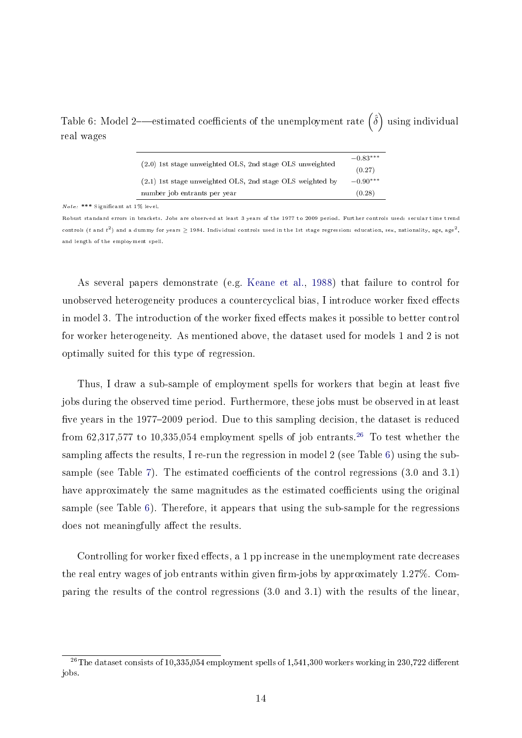<span id="page-13-0"></span>Table 6: Model 2—estimated coefficients of the unemployment rate  $\hat{(\delta)}$  using individual real wages

|                                                           | $-0.83***$ |
|-----------------------------------------------------------|------------|
| (2.0) 1st stage unweighted OLS, 2nd stage OLS unweighted  | (0.27)     |
| (2.1) 1st stage unweighted OLS, 2nd stage OLS weighted by | $-0.90***$ |
| number job entrants per year                              | (0.28)     |

Note: \*\*\* Signicant at 1% level.

Robust standard errors in brackets. Jobs are observed at least 3 years of the 1977 to 2009 period. Further controls used: secular time trend controls (t and  $t^2$ ) and a dummy for years  $\geq$  1984. Individual controls used in the 1st stage regression: education, sex, nationality, age, age<sup>2</sup>, and length of the employment spell.

As several papers demonstrate (e.g. [Keane et al.,](#page-21-11) [1988\)](#page-21-11) that failure to control for unobserved heterogeneity produces a countercyclical bias, I introduce worker fixed effects in model 3. The introduction of the worker fixed effects makes it possible to better control for worker heterogeneity. As mentioned above, the dataset used for models 1 and 2 is not optimally suited for this type of regression.

Thus, I draw a sub-sample of employment spells for workers that begin at least five jobs during the observed time period. Furthermore, these jobs must be observed in at least five years in the 1977–2009 period. Due to this sampling decision, the dataset is reduced from 62,317,577 to 10,335,054 employment spells of job entrants.<sup>[26](#page-13-1)</sup> To test whether the sampling affects the results, I re-run the regression in model  $2$  (see Table [6\)](#page-13-0) using the sub-sample (see Table [7\)](#page-14-1). The estimated coefficients of the control regressions  $(3.0 \text{ and } 3.1)$ have approximately the same magnitudes as the estimated coefficients using the original sample (see Table [6\)](#page-13-0). Therefore, it appears that using the sub-sample for the regressions does not meaningfully affect the results.

Controlling for worker fixed effects, a  $1$  pp increase in the unemployment rate decreases the real entry wages of job entrants within given firm-jobs by approximately  $1.27\%$ . Comparing the results of the control regressions (3.0 and 3.1) with the results of the linear,

<span id="page-13-1"></span><sup>&</sup>lt;sup>26</sup>The dataset consists of 10,335,054 employment spells of 1,541,300 workers working in 230,722 different jobs.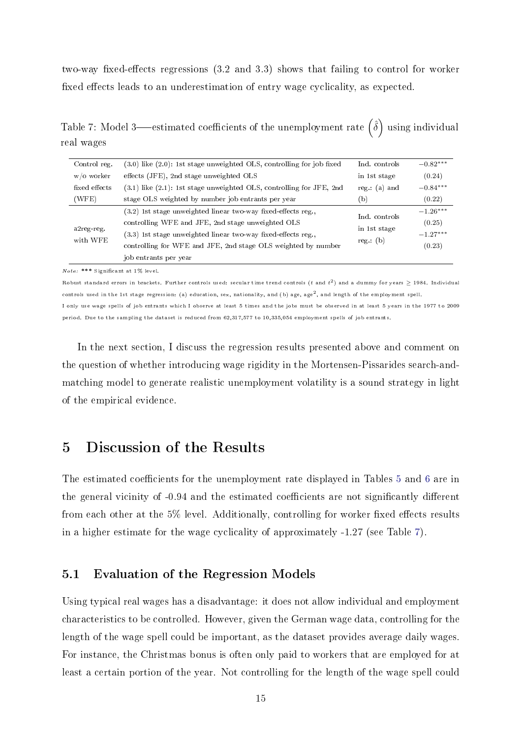two-way fixed-effects regressions  $(3.2 \text{ and } 3.3)$  shows that failing to control for worker fixed effects leads to an underestimation of entry wage cyclicality, as expected.

<span id="page-14-1"></span>Table 7: Model 3—estimated coefficients of the unemployment rate  $\hat{(\delta)}$  using individual real wages

| Control reg.           | $(3.0)$ like $(2.0)$ : 1st stage unweighted OLS, controlling for job fixed |                          | $-0.82***$ |
|------------------------|----------------------------------------------------------------------------|--------------------------|------------|
| w/o worker             | effects (JFE), 2nd stage unweighted OLS                                    |                          | (0.24)     |
| fixed effects          | $(3.1)$ like $(2.1)$ : 1st stage unweighted OLS, controlling for JFE, 2nd  | reg.: $(a)$ and          | $-0.84***$ |
| (WFE)                  | stage OLS weighted by number job entrants per year                         |                          | (0.22)     |
|                        | $(3.2)$ 1st stage unweighted linear two-way fixed-effects reg.             | Ind. controls            | $-1.26***$ |
|                        | controlling WFE and JFE, 2nd stage unweighted OLS                          | in 1st stage<br>reg: (b) | (0.25)     |
| a2reg-reg.<br>with WFE | $(3.3)$ 1st stage unweighted linear two-way fixed-effects reg.             |                          | $-1.27***$ |
|                        | controlling for WFE and JFE, 2nd stage OLS weighted by number              |                          | (0.23)     |
|                        | job entrants per year                                                      |                          |            |

Note: \*\*\* Signicant at 1% level.

Robust standard errors in brackets. Further controls used: secular time trend controls (t and  $t^2$ ) and a dummy for years  $\geq$  1984. Individual controls used in the 1st stage regression: (a) education, sex, nationality, and (b) age, age2, and length of the employment spell.

I only use wage spells of job entrants which I observe at least 5 times and the jobs must be observed in at least 5 years in the 1977 to 2009 period. Due to the sampling the dataset is reduced from 62,317,577 to 10,335,054 employment spells of job entrants.

In the next section, I discuss the regression results presented above and comment on the question of whether introducing wage rigidity in the Mortensen-Pissarides search-andmatching model to generate realistic unemployment volatility is a sound strategy in light of the empirical evidence.

## <span id="page-14-0"></span>5 Discussion of the Results

The estimated coefficients for the unemployment rate displayed in Tables [5](#page-12-0) and [6](#page-13-0) are in the general vicinity of -0.94 and the estimated coefficients are not significantly different from each other at the  $5\%$  level. Additionally, controlling for worker fixed effects results in a higher estimate for the wage cyclicality of approximately -1.27 (see Table [7\)](#page-14-1).

#### <span id="page-14-2"></span>5.1 Evaluation of the Regression Models

Using typical real wages has a disadvantage: it does not allow individual and employment characteristics to be controlled. However, given the German wage data, controlling for the length of the wage spell could be important, as the dataset provides average daily wages. For instance, the Christmas bonus is often only paid to workers that are employed for at least a certain portion of the year. Not controlling for the length of the wage spell could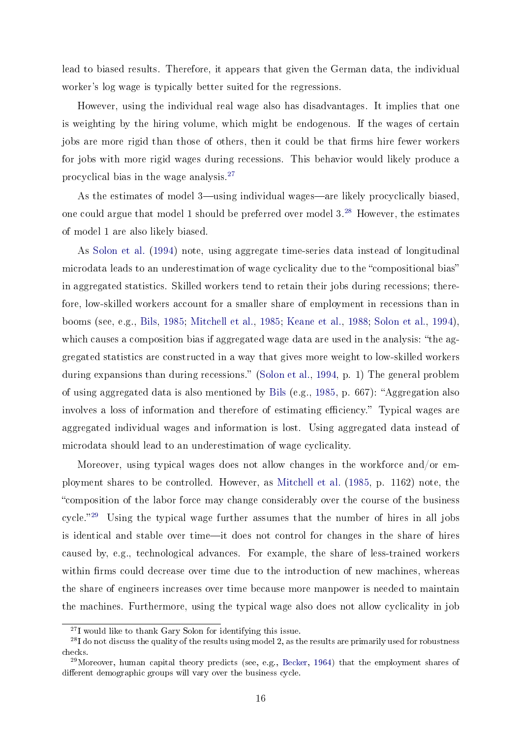lead to biased results. Therefore, it appears that given the German data, the individual worker's log wage is typically better suited for the regressions.

However, using the individual real wage also has disadvantages. It implies that one is weighting by the hiring volume, which might be endogenous. If the wages of certain jobs are more rigid than those of others, then it could be that firms hire fewer workers for jobs with more rigid wages during recessions. This behavior would likely produce a procyclical bias in the wage analysis.[27](#page-15-0)

As the estimates of model 3—using individual wages—are likely procyclically biased, one could argue that model 1 should be preferred over model  $3.^{28}$  $3.^{28}$  $3.^{28}$  However, the estimates of model 1 are also likely biased.

As [Solon et al.](#page-22-8) [\(1994\)](#page-22-8) note, using aggregate time-series data instead of longitudinal microdata leads to an underestimation of wage cyclicality due to the "compositional bias" in aggregated statistics. Skilled workers tend to retain their jobs during recessions; therefore, low-skilled workers account for a smaller share of employment in recessions than in booms (see, e.g., [Bils,](#page-20-0) [1985;](#page-20-0) [Mitchell et al.,](#page-22-9) [1985;](#page-22-9) [Keane et al.,](#page-21-11) [1988;](#page-21-11) [Solon et al.,](#page-22-8) [1994\)](#page-22-8), which causes a composition bias if aggregated wage data are used in the analysis: "the aggregated statistics are constructed in a way that gives more weight to low-skilled workers during expansions than during recessions." [\(Solon et al.,](#page-22-8) [1994,](#page-22-8) p. 1) The general problem of using aggregated data is also mentioned by [Bils](#page-20-0) (e.g., [1985,](#page-20-0) p. 667): "Aggregation also involves a loss of information and therefore of estimating efficiency." Typical wages are aggregated individual wages and information is lost. Using aggregated data instead of microdata should lead to an underestimation of wage cyclicality.

Moreover, using typical wages does not allow changes in the workforce and/or employment shares to be controlled. However, as [Mitchell et al.](#page-22-9) [\(1985,](#page-22-9) p. 1162) note, the composition of the labor force may change considerably over the course of the business cycle.<sup>[29](#page-15-2)</sup> Using the typical wage further assumes that the number of hires in all jobs is identical and stable over time—it does not control for changes in the share of hires caused by, e.g., technological advances. For example, the share of less-trained workers within firms could decrease over time due to the introduction of new machines, whereas the share of engineers increases over time because more manpower is needed to maintain the machines. Furthermore, using the typical wage also does not allow cyclicality in job

<span id="page-15-1"></span><span id="page-15-0"></span><sup>27</sup>I would like to thank Gary Solon for identifying this issue.

<sup>&</sup>lt;sup>28</sup>I do not discuss the quality of the results using model 2, as the results are primarily used for robustness checks.

<span id="page-15-2"></span> $^{29}$ Moreover, human capital theory predicts (see, e.g., [Becker,](#page-20-9) [1964\)](#page-20-9) that the employment shares of different demographic groups will vary over the business cycle.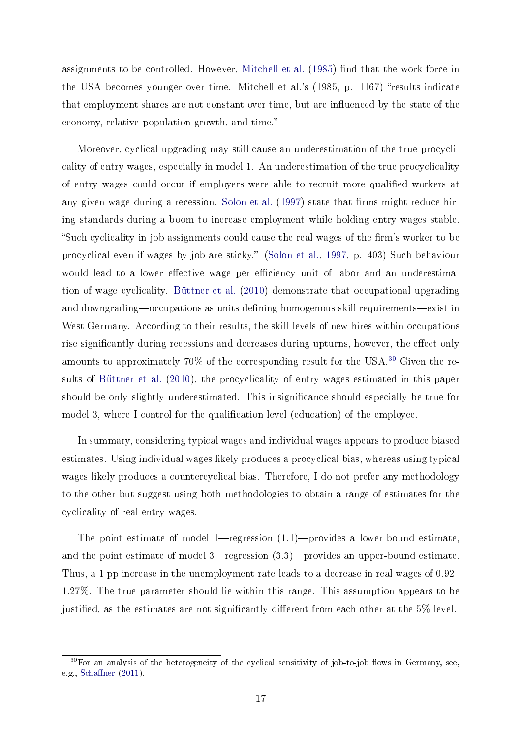assignments to be controlled. However, [Mitchell et al.](#page-22-9) [\(1985\)](#page-22-9) find that the work force in the USA becomes younger over time. Mitchell et al.'s  $(1985, p. 1167)$  "results indicate that employment shares are not constant over time, but are influenced by the state of the economy, relative population growth, and time.

Moreover, cyclical upgrading may still cause an underestimation of the true procyclicality of entry wages, especially in model 1. An underestimation of the true procyclicality of entry wages could occur if employers were able to recruit more qualified workers at any given wage during a recession. [Solon et al.](#page-22-10) [\(1997\)](#page-22-10) state that firms might reduce hiring standards during a boom to increase employment while holding entry wages stable. "Such cyclicality in job assignments could cause the real wages of the firm's worker to be procyclical even if wages by job are sticky. [\(Solon et al.,](#page-22-10) [1997,](#page-22-10) p. 403) Such behaviour would lead to a lower effective wage per efficiency unit of labor and an underestimation of wage cyclicality. [Büttner et al.](#page-20-10) [\(2010\)](#page-20-10) demonstrate that occupational upgrading and downgrading—occupations as units defining homogenous skill requirements—exist in West Germany. According to their results, the skill levels of new hires within occupations rise significantly during recessions and decreases during upturns, however, the effect only amounts to approximately 70% of the corresponding result for the USA.[30](#page-16-0) Given the results of [Büttner et al.](#page-20-10) [\(2010\)](#page-20-10), the procyclicality of entry wages estimated in this paper should be only slightly underestimated. This insignicance should especially be true for model 3, where I control for the qualification level (education) of the employee.

In summary, considering typical wages and individual wages appears to produce biased estimates. Using individual wages likely produces a procyclical bias, whereas using typical wages likely produces a countercyclical bias. Therefore, I do not prefer any methodology to the other but suggest using both methodologies to obtain a range of estimates for the cyclicality of real entry wages.

The point estimate of model 1—regression  $(1.1)$ —provides a lower-bound estimate, and the point estimate of model  $3$ —regression  $(3.3)$ —provides an upper-bound estimate. Thus, a 1 pp increase in the unemployment rate leads to a decrease in real wages of 0.92 1.27%. The true parameter should lie within this range. This assumption appears to be justified, as the estimates are not significantly different from each other at the  $5\%$  level.

<span id="page-16-0"></span> $30$ For an analysis of the heterogeneity of the cyclical sensitivity of job-to-job flows in Germany, see, e.g., Schaffner  $(2011)$ .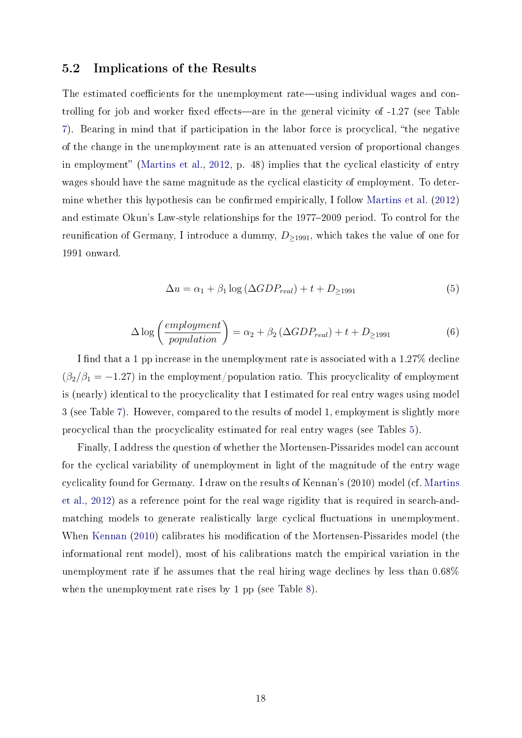#### 5.2 Implications of the Results

The estimated coefficients for the unemployment rate—using individual wages and controlling for job and worker fixed effects—are in the general vicinity of -1.27 (see Table [7\)](#page-14-1). Bearing in mind that if participation in the labor force is procyclical, the negative of the change in the unemployment rate is an attenuated version of proportional changes in employment" [\(Martins et al.,](#page-22-5) [2012,](#page-22-5) p. 48) implies that the cyclical elasticity of entry wages should have the same magnitude as the cyclical elasticity of employment. To deter-mine whether this hypothesis can be confirmed empirically, I follow [Martins et al.](#page-22-5) [\(2012\)](#page-22-5) and estimate Okun's Law-style relationships for the 1977–2009 period. To control for the reunification of Germany, I introduce a dummy,  $D_{\geq 1991}$ , which takes the value of one for 1991 onward.

$$
\Delta u = \alpha_1 + \beta_1 \log \left( \Delta GDP_{real} \right) + t + D_{\geq 1991} \tag{5}
$$

$$
\Delta \log \left( \frac{emplogment}{population} \right) = \alpha_2 + \beta_2 \left( \Delta GDP_{real} \right) + t + D_{\ge 1991} \tag{6}
$$

I find that a 1 pp increase in the unemployment rate is associated with a 1.27% decline  $(\beta_2/\beta_1 = -1.27)$  in the employment/population ratio. This procyclicality of employment is (nearly) identical to the procyclicality that I estimated for real entry wages using model 3 (see Table [7\)](#page-14-1). However, compared to the results of model 1, employment is slightly more procyclical than the procyclicality estimated for real entry wages (see Tables [5\)](#page-12-0).

Finally, I address the question of whether the Mortensen-Pissarides model can account for the cyclical variability of unemployment in light of the magnitude of the entry wage cyclicality found for Germany. I draw on the results of Kennan's (2010) model (cf. [Martins](#page-22-5) [et al.,](#page-22-5) [2012\)](#page-22-5) as a reference point for the real wage rigidity that is required in search-andmatching models to generate realistically large cyclical fluctuations in unemployment. When [Kennan](#page-21-2) [\(2010\)](#page-21-2) calibrates his modification of the Mortensen-Pissarides model (the informational rent model), most of his calibrations match the empirical variation in the unemployment rate if he assumes that the real hiring wage declines by less than 0.68% when the unemployment rate rises by 1 pp (see Table [8\)](#page-18-1).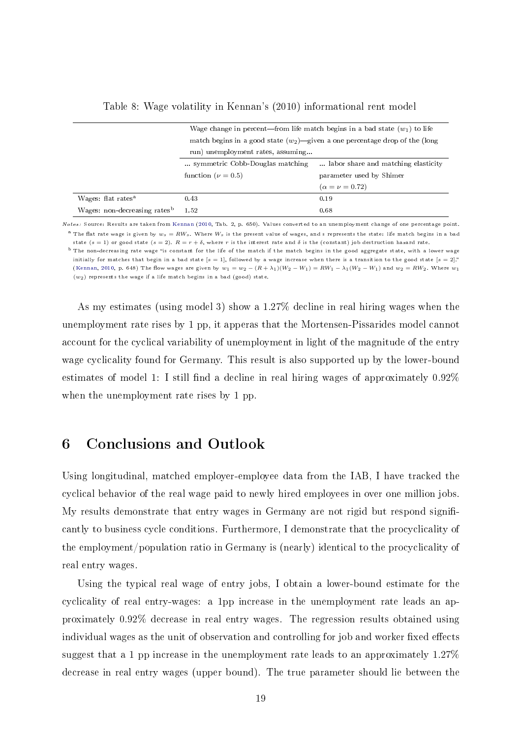<span id="page-18-1"></span>

|                                          | Wage change in percent—from life match begins in a bad state $(w_1)$ to life   |                         |  |  |  |
|------------------------------------------|--------------------------------------------------------------------------------|-------------------------|--|--|--|
|                                          | match begins in a good state $(w_2)$ —given a one percentage drop of the (long |                         |  |  |  |
|                                          | run) unemployment rates, assuming                                              |                         |  |  |  |
|                                          | symmetric Cobb-Douglas matching<br>labor share and matching elasticity.        |                         |  |  |  |
|                                          | function ( $\nu = 0.5$ )<br>parameter used by Shimer                           |                         |  |  |  |
|                                          |                                                                                | $(\alpha = \nu = 0.72)$ |  |  |  |
| Wages: flat rates <sup>a</sup>           | 0.43                                                                           | 0.19                    |  |  |  |
| Wages: non-decreasing rates <sup>b</sup> | 1.52                                                                           | 0.68                    |  |  |  |

Table 8: Wage volatility in Kennan's (2010) informational rent model

Notes: Source: Results are taken from [Kennan](#page-21-2) [\(2010,](#page-21-2) Tab. 2, p. 650). Values converted to an unemployment change of one percentage point. <sup>a</sup> The flat rate wage is given by  $w_s = R W_s$ . Where  $W_s$  is the present value of wages, and s represents the state: life match begins in a bad state (s = 1) or good state (s = 2).  $R = r + \delta$ , where r is the interest rate and  $\delta$  is the (constant) job destruction hazard rate.

<sup>b</sup> The non-decreasing rate wage "is constant for the life of the match if the match begins in the good aggregate state, with a lower wage initially for matches that begin in a bad state  $[s = 1]$ , followed by a wage increase when there is a transition to the good state  $[s = 2]$ ." [\(Kennan,](#page-21-2) [2010,](#page-21-2) p. 648) The flow wages are given by  $w_1 = w_2 - (R + \lambda_1)(W_2 - W_1) = RW_1 - \lambda_1(W_2 - W_1)$  and  $w_2 = RW_2$ . Where  $w_1$  $(w_2)$  represents the wage if a life match begins in a bad (good) state.

As my estimates (using model 3) show a 1.27% decline in real hiring wages when the unemployment rate rises by 1 pp, it apperas that the Mortensen-Pissarides model cannot account for the cyclical variability of unemployment in light of the magnitude of the entry wage cyclicality found for Germany. This result is also supported up by the lower-bound estimates of model 1: I still find a decline in real hiring wages of approximately  $0.92\%$ when the unemployment rate rises by 1 pp.

## <span id="page-18-0"></span>6 Conclusions and Outlook

Using longitudinal, matched employer-employee data from the IAB, I have tracked the cyclical behavior of the real wage paid to newly hired employees in over one million jobs. My results demonstrate that entry wages in Germany are not rigid but respond significantly to business cycle conditions. Furthermore, I demonstrate that the procyclicality of the employment/population ratio in Germany is (nearly) identical to the procyclicality of real entry wages.

Using the typical real wage of entry jobs, I obtain a lower-bound estimate for the cyclicality of real entry-wages: a 1pp increase in the unemployment rate leads an approximately 0.92% decrease in real entry wages. The regression results obtained using individual wages as the unit of observation and controlling for job and worker fixed effects suggest that a 1 pp increase in the unemployment rate leads to an approximately 1.27% decrease in real entry wages (upper bound). The true parameter should lie between the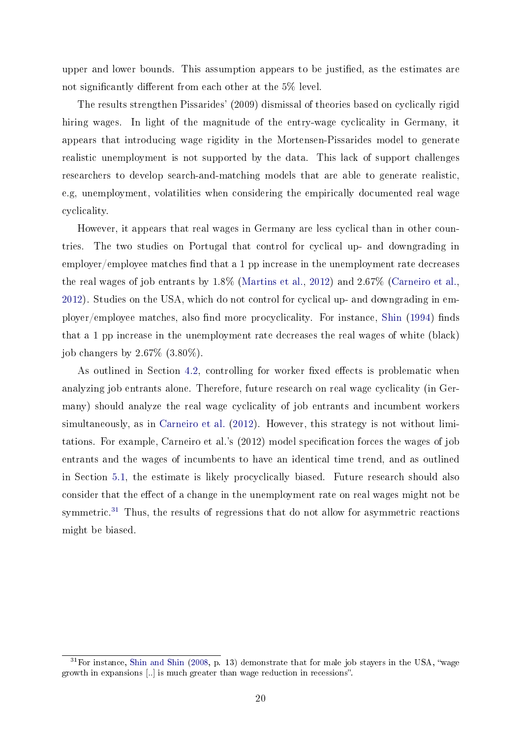upper and lower bounds. This assumption appears to be justified, as the estimates are not significantly different from each other at the  $5\%$  level.

The results strengthen Pissarides' (2009) dismissal of theories based on cyclically rigid hiring wages. In light of the magnitude of the entry-wage cyclicality in Germany, it appears that introducing wage rigidity in the Mortensen-Pissarides model to generate realistic unemployment is not supported by the data. This lack of support challenges researchers to develop search-and-matching models that are able to generate realistic, e.g, unemployment, volatilities when considering the empirically documented real wage cyclicality.

However, it appears that real wages in Germany are less cyclical than in other countries. The two studies on Portugal that control for cyclical up- and downgrading in  $emplyer/employee$  matches find that a 1 pp increase in the unemployment rate decreases the real wages of job entrants by 1.8% [\(Martins et al.,](#page-22-5) [2012\)](#page-22-5) and 2.67% [\(Carneiro et al.,](#page-20-2) [2012\)](#page-20-2). Studies on the USA, which do not control for cyclical up- and downgrading in em-ployer/employee matches, also find more procyclicality. For instance, [Shin](#page-22-3)  $(1994)$  finds that a 1 pp increase in the unemployment rate decreases the real wages of white (black) job changers by 2.67% (3.80%).

As outlined in Section [4.2,](#page-11-4) controlling for worker fixed effects is problematic when analyzing job entrants alone. Therefore, future research on real wage cyclicality (in Germany) should analyze the real wage cyclicality of job entrants and incumbent workers simultaneously, as in [Carneiro et al.](#page-20-2) [\(2012\)](#page-20-2). However, this strategy is not without limitations. For example, Carneiro et al.'s  $(2012)$  model specification forces the wages of job entrants and the wages of incumbents to have an identical time trend, and as outlined in Section [5.1,](#page-14-2) the estimate is likely procyclically biased. Future research should also consider that the effect of a change in the unemployment rate on real wages might not be symmetric.<sup>[31](#page-19-0)</sup> Thus, the results of regressions that do not allow for asymmetric reactions might be biased.

<span id="page-19-0"></span> $31$  For instance, [Shin and Shin](#page-22-12) [\(2008,](#page-22-12) p. 13) demonstrate that for male job stayers in the USA, "wage growth in expansions [..] is much greater than wage reduction in recessions".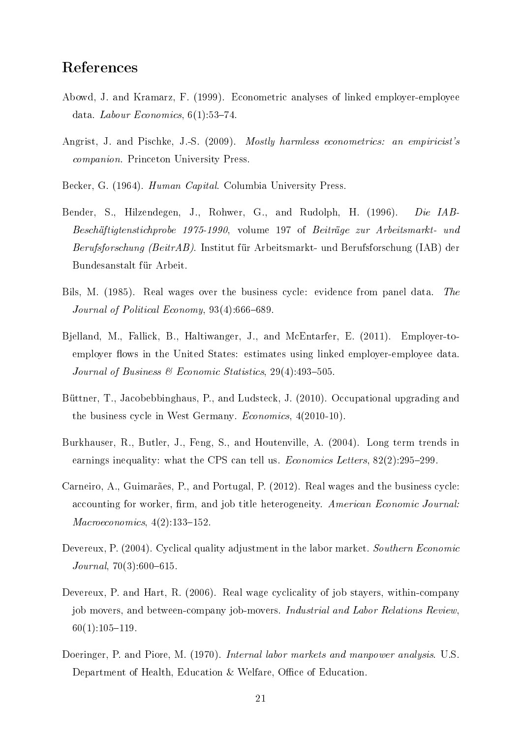## References

- <span id="page-20-8"></span>Abowd, J. and Kramarz, F. (1999). Econometric analyses of linked employer-employee data. Labour Economics,  $6(1)$ :53-74.
- <span id="page-20-7"></span>Angrist, J. and Pischke, J.-S. (2009). Mostly harmless econometrics: an empiricist's companion. Princeton University Press.
- <span id="page-20-9"></span>Becker, G. (1964). *Human Capital*. Columbia University Press.
- <span id="page-20-5"></span>Bender, S., Hilzendegen, J., Rohwer, G., and Rudolph, H. (1996). Die IAB-Beschäftigtenstichprobe 1975-1990, volume 197 of Beiträge zur Arbeitsmarkt- und Berufsforschung (BeitrAB). Institut für Arbeitsmarkt- und Berufsforschung (IAB) der Bundesanstalt für Arbeit.
- <span id="page-20-0"></span>Bils, M. (1985). Real wages over the business cycle: evidence from panel data. The Journal of Political Economy,  $93(4):666-689$ .
- <span id="page-20-4"></span>Bjelland, M., Fallick, B., Haltiwanger, J., and McEntarfer, E. (2011). Employer-toemployer flows in the United States: estimates using linked employer-employee data. Journal of Business & Economic Statistics,  $29(4)$ : 493-505.
- <span id="page-20-10"></span>Büttner, T., Jacobebbinghaus, P., and Ludsteck, J. (2010). Occupational upgrading and the business cycle in West Germany. Economics, 4(2010-10).
- <span id="page-20-6"></span>Burkhauser, R., Butler, J., Feng, S., and Houtenville, A. (2004). Long term trends in earnings inequality: what the CPS can tell us. *Economics Letters*,  $82(2):295-299$ .
- <span id="page-20-2"></span>Carneiro, A., Guimarães, P., and Portugal, P. (2012). Real wages and the business cycle: accounting for worker, firm, and job title heterogeneity. American Economic Journal:  $Macroeconomics, 4(2):133-152.$
- <span id="page-20-3"></span>Devereux, P. (2004). Cyclical quality adjustment in the labor market. Southern Economic  $Journal, 70(3):600-615.$
- <span id="page-20-1"></span>Devereux, P. and Hart, R. (2006). Real wage cyclicality of job stayers, within-company job movers, and between-company job-movers. Industrial and Labor Relations Review,  $60(1):105-119.$
- <span id="page-20-11"></span>Doeringer, P. and Piore, M. (1970). *Internal labor markets and manpower analysis.* U.S. Department of Health, Education & Welfare, Office of Education.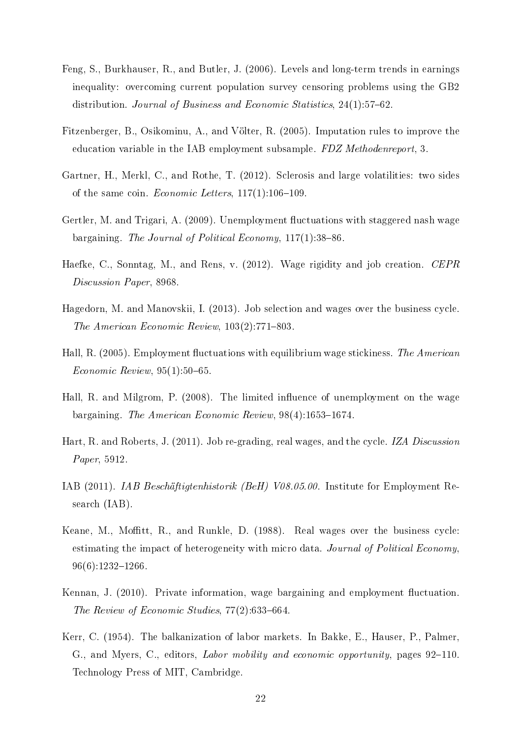- <span id="page-21-9"></span>Feng, S., Burkhauser, R., and Butler, J. (2006). Levels and long-term trends in earnings inequality: overcoming current population survey censoring problems using the GB2 distribution. Journal of Business and Economic Statistics,  $24(1)$ :57–62.
- <span id="page-21-10"></span>Fitzenberger, B., Osikominu, A., and Völter, R. (2005). Imputation rules to improve the education variable in the IAB employment subsample. FDZ Methodenreport, 3.
- <span id="page-21-4"></span>Gartner, H., Merkl, C., and Rothe, T. (2012). Sclerosis and large volatilities: two sides of the same coin. *Economic Letters*,  $117(1):106-109$ .
- <span id="page-21-5"></span>Gertler, M. and Trigari, A. (2009). Unemployment fluctuations with staggered nash wage bargaining. The Journal of Political Economy,  $117(1)$ :38-86.
- <span id="page-21-3"></span>Haefke, C., Sonntag, M., and Rens, v. (2012). Wage rigidity and job creation. CEPR Discussion Paper, 8968.
- <span id="page-21-6"></span>Hagedorn, M. and Manovskii, I. (2013). Job selection and wages over the business cycle. The American Economic Review,  $103(2)$ :771-803.
- <span id="page-21-0"></span>Hall, R. (2005). Employment fluctuations with equilibrium wage stickiness. The American  $Economic$  Review, 95(1):50-65.
- <span id="page-21-1"></span>Hall, R. and Milgrom, P. (2008). The limited influence of unemployment on the wage bargaining. The American Economic Review,  $98(4)$ :1653-1674.
- <span id="page-21-7"></span>Hart, R. and Roberts, J. (2011). Job re-grading, real wages, and the cycle. IZA Discussion Paper, 5912.
- <span id="page-21-8"></span>IAB (2011). IAB Beschäftigtenhistorik (BeH) V08.05.00. Institute for Employment Research (IAB).
- <span id="page-21-11"></span>Keane, M., Moffitt, R., and Runkle, D. (1988). Real wages over the business cycle: estimating the impact of heterogeneity with micro data. Journal of Political Economy,  $96(6):1232-1266$
- <span id="page-21-2"></span>Kennan, J. (2010). Private information, wage bargaining and employment fluctuation. The Review of Economic Studies,  $77(2)$ :633-664.
- <span id="page-21-12"></span>Kerr, C. (1954). The balkanization of labor markets. In Bakke, E., Hauser, P., Palmer, G., and Myers, C., editors, Labor mobility and economic opportunity, pages 92–110. Technology Press of MIT, Cambridge.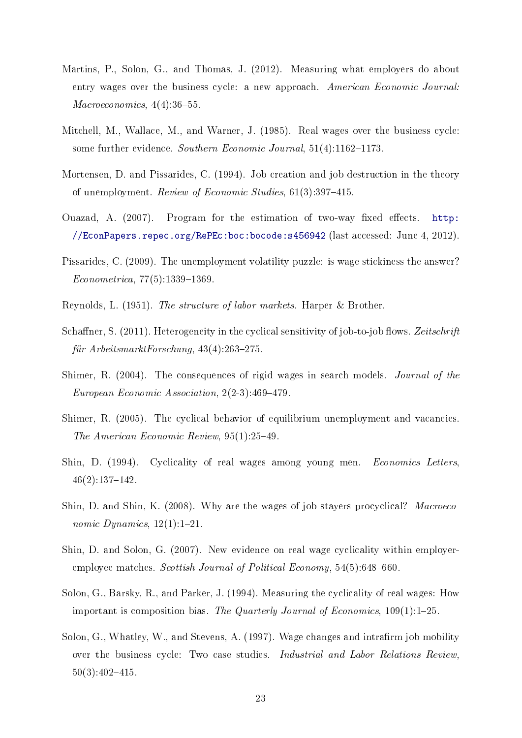- <span id="page-22-5"></span>Martins, P., Solon, G., and Thomas, J. (2012). Measuring what employers do about entry wages over the business cycle: a new approach. American Economic Journal:  $Macroeconomics, 4(4):36-55.$
- <span id="page-22-9"></span>Mitchell, M., Wallace, M., and Warner, J. (1985). Real wages over the business cycle: some further evidence. Southern Economic Journal, 51(4):1162-1173.
- <span id="page-22-0"></span>Mortensen, D. and Pissarides, C. (1994). Job creation and job destruction in the theory of unemployment. Review of Economic Studies,  $61(3):397-415$ .
- <span id="page-22-7"></span>Ouazad, A.  $(2007)$ . Program for the estimation of two-way fixed effects. [http:](http://EconPapers.repec.org/RePEc:boc:bocode:s456942) [//EconPapers.repec.org/RePEc:boc:bocode:s456942](http://EconPapers.repec.org/RePEc:boc:bocode:s456942) (last accessed: June 4, 2012).
- <span id="page-22-2"></span>Pissarides, C. (2009). The unemployment volatility puzzle: is wage stickiness the answer?  $Econometrica, 77(5):1339-1369.$
- <span id="page-22-6"></span>Reynolds, L. (1951). The structure of labor markets. Harper & Brother.
- <span id="page-22-11"></span>Schaffner, S.  $(2011)$ . Heterogeneity in the cyclical sensitivity of job-to-job flows. Zeitschrift für ArbeitsmarktForschung,  $43(4):263-275$ .
- Shimer, R. (2004). The consequences of rigid wages in search models. Journal of the European Economic Association,  $2(2-3)$ :469-479.
- <span id="page-22-1"></span>Shimer, R. (2005). The cyclical behavior of equilibrium unemployment and vacancies. The American Economic Review,  $95(1):25-49$ .
- <span id="page-22-3"></span>Shin, D. (1994). Cyclicality of real wages among young men. Economics Letters,  $46(2):137-142.$
- <span id="page-22-12"></span>Shin, D. and Shin, K. (2008). Why are the wages of job stayers procyclical? Macroeconomic Dynamics,  $12(1):1-21$ .
- <span id="page-22-4"></span>Shin, D. and Solon, G. (2007). New evidence on real wage cyclicality within employeremployee matches. Scottish Journal of Political Economy,  $54(5)$ :648–660.
- <span id="page-22-8"></span>Solon, G., Barsky, R., and Parker, J. (1994). Measuring the cyclicality of real wages: How important is composition bias. The Quarterly Journal of Economics,  $109(1)$ :1-25.
- <span id="page-22-10"></span>Solon, G., Whatley, W., and Stevens, A. (1997). Wage changes and intrafirm job mobility over the business cycle: Two case studies. Industrial and Labor Relations Review,  $50(3):402-415.$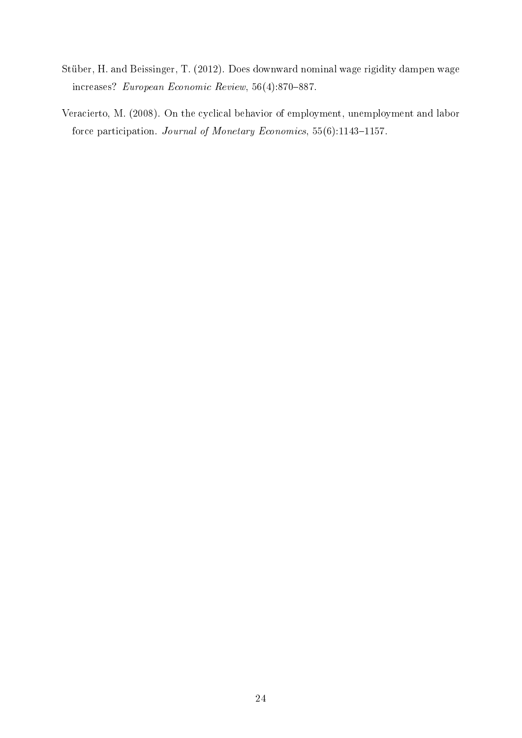- <span id="page-23-1"></span>Stüber, H. and Beissinger, T. (2012). Does downward nominal wage rigidity dampen wage increases? European Economic Review,  $56(4):870-887$ .
- <span id="page-23-0"></span>Veracierto, M. (2008). On the cyclical behavior of employment, unemployment and labor force participation. Journal of Monetary Economics,  $55(6)$ :1143-1157.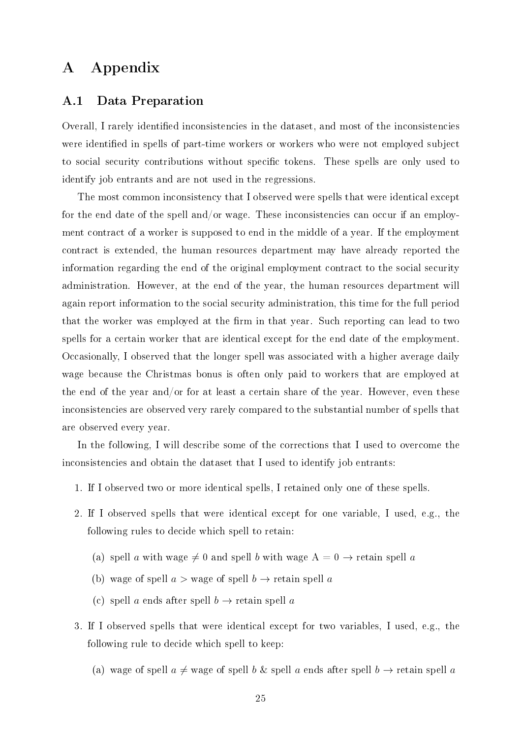## A Appendix

#### <span id="page-24-0"></span>A.1 Data Preparation

Overall, I rarely identified inconsistencies in the dataset, and most of the inconsistencies were identified in spells of part-time workers or workers who were not employed subject to social security contributions without specific tokens. These spells are only used to identify job entrants and are not used in the regressions.

The most common inconsistency that I observed were spells that were identical except for the end date of the spell and/or wage. These inconsistencies can occur if an employment contract of a worker is supposed to end in the middle of a year. If the employment contract is extended, the human resources department may have already reported the information regarding the end of the original employment contract to the social security administration. However, at the end of the year, the human resources department will again report information to the social security administration, this time for the full period that the worker was employed at the firm in that year. Such reporting can lead to two spells for a certain worker that are identical except for the end date of the employment. Occasionally, I observed that the longer spell was associated with a higher average daily wage because the Christmas bonus is often only paid to workers that are employed at the end of the year and/or for at least a certain share of the year. However, even these inconsistencies are observed very rarely compared to the substantial number of spells that are observed every year.

In the following, I will describe some of the corrections that I used to overcome the inconsistencies and obtain the dataset that I used to identify job entrants:

- 1. If I observed two or more identical spells, I retained only one of these spells.
- 2. If I observed spells that were identical except for one variable, I used, e.g., the following rules to decide which spell to retain:
	- (a) spell a with wage  $\neq 0$  and spell b with wage  $A = 0 \rightarrow$  retain spell a
	- (b) wage of spell  $a >$  wage of spell  $b \rightarrow$  retain spell a
	- (c) spell a ends after spell  $b \to$  retain spell a
- 3. If I observed spells that were identical except for two variables, I used, e.g., the following rule to decide which spell to keep:
	- (a) wage of spell  $a \neq$  wage of spell b & spell a ends after spell  $b \rightarrow$  retain spell a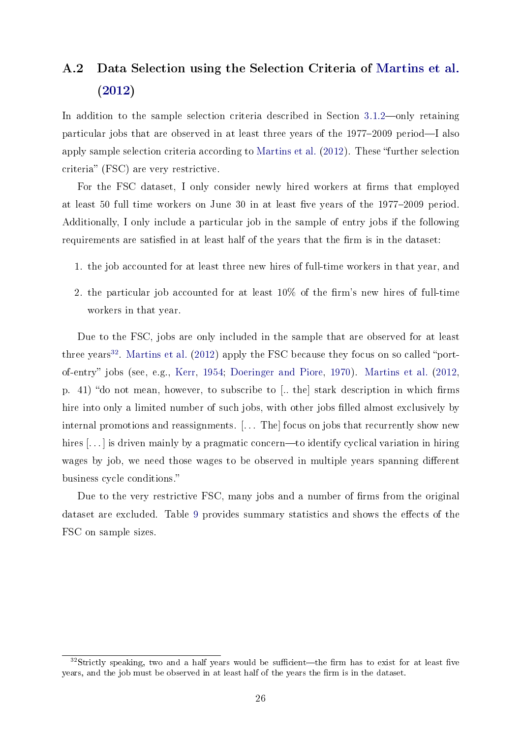## <span id="page-25-0"></span>A.2 Data Selection using the Selection Criteria of [Martins et al.](#page-22-5) [\(2012\)](#page-22-5)

In addition to the sample selection criteria described in Section  $3.1.2$ —only retaining particular jobs that are observed in at least three years of the  $1977-2009$  period-I also apply sample selection criteria according to [Martins et al.](#page-22-5)  $(2012)$ . These "further selection criteria" (FSC) are very restrictive.

For the FSC dataset, I only consider newly hired workers at firms that employed at least 50 full time workers on June 30 in at least five years of the  $1977-2009$  period. Additionally, I only include a particular job in the sample of entry jobs if the following requirements are satisfied in at least half of the years that the firm is in the dataset:

- 1. the job accounted for at least three new hires of full-time workers in that year, and
- 2. the particular job accounted for at least  $10\%$  of the firm's new hires of full-time workers in that year.

Due to the FSC, jobs are only included in the sample that are observed for at least three years<sup>[32](#page-25-1)</sup>. [Martins et al.](#page-22-5)  $(2012)$  apply the FSC because they focus on so called "port-of-entry" jobs (see, e.g., [Kerr,](#page-21-12) [1954;](#page-21-12) [Doeringer and Piore,](#page-20-11) [1970\)](#page-20-11). [Martins et al.](#page-22-5) [\(2012,](#page-22-5) p. 41) "do not mean, however, to subscribe to [.. the stark description in which firms hire into only a limited number of such jobs, with other jobs filled almost exclusively by internal promotions and reassignments. [... The] focus on jobs that recurrently show new hires  $\left[\ldots\right]$  is driven mainly by a pragmatic concern—to identify cyclical variation in hiring wages by job, we need those wages to be observed in multiple years spanning different business cycle conditions.

Due to the very restrictive FSC, many jobs and a number of firms from the original dataset are excluded. Table [9](#page-26-0) provides summary statistics and shows the effects of the FSC on sample sizes.

<span id="page-25-1"></span> $32$ Strictly speaking, two and a half years would be sufficient—the firm has to exist for at least five years, and the job must be observed in at least half of the years the firm is in the dataset.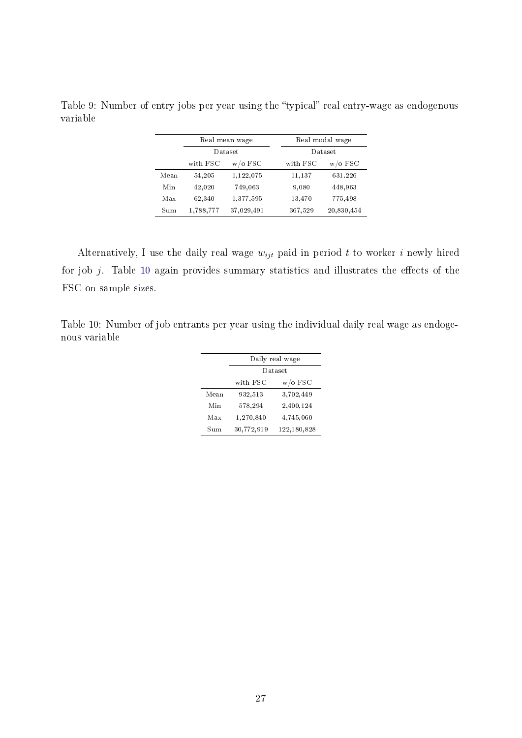|                       |           | Real mean wage |          | Real modal wage |  |  |
|-----------------------|-----------|----------------|----------|-----------------|--|--|
|                       |           | Dataset        |          | Dataset         |  |  |
| with FSC<br>$w/o$ FSC |           |                | with FSC | $w/o$ FSC       |  |  |
| Mean                  | 54,205    | 1,122,075      | 11.137   | 631.226         |  |  |
| Min                   | 42,020    | 749,063        | 9,080    | 448,963         |  |  |
| Max                   | 62,340    | 1,377,595      | 13,470   | 775,498         |  |  |
| Sum                   | 1,788,777 | 37,029,491     | 367,529  | 20,830,454      |  |  |

<span id="page-26-0"></span>Table 9: Number of entry jobs per year using the "typical" real entry-wage as endogenous variable

Alternatively, I use the daily real wage  $w_{ijt}$  paid in period t to worker i newly hired for job  $j$ . Table [10](#page-26-1) again provides summary statistics and illustrates the effects of the FSC on sample sizes.

<span id="page-26-1"></span>Table 10: Number of job entrants per year using the individual daily real wage as endogenous variable

| Daily real wage |             |  |  |
|-----------------|-------------|--|--|
| Dataset         |             |  |  |
| with FSC        | $w/o$ FSC   |  |  |
| 932,513         | 3,702,449   |  |  |
| 578,294         | 2,400,124   |  |  |
| 1,270,840       | 4,745,060   |  |  |
| 30,772,919      | 122,180,828 |  |  |
|                 |             |  |  |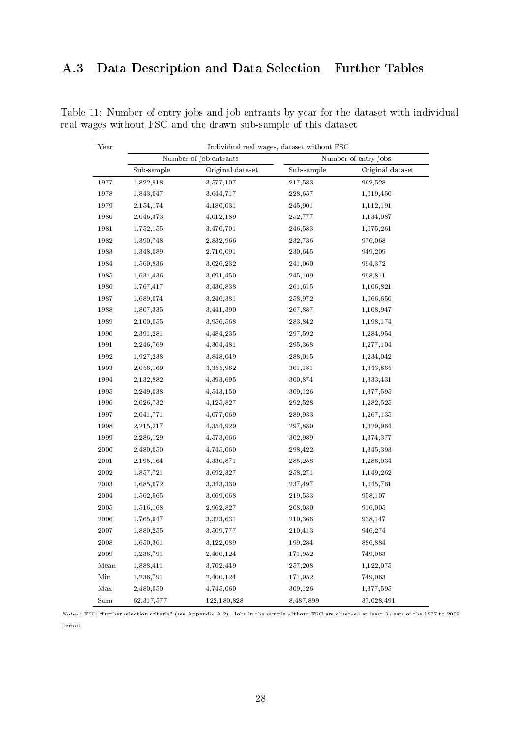## <span id="page-27-0"></span>A.3 Data Description and Data Selection-Further Tables

| Year                 |              |                        | Individual real wages, dataset without FSC |                      |
|----------------------|--------------|------------------------|--------------------------------------------|----------------------|
|                      |              | Number of job entrants |                                            | Number of entry jobs |
|                      | Sub-sample   | Original dataset       | Sub-sample                                 | Original dataset     |
| 1977                 | 1,822,918    | 3,577,107              | 217,583                                    | 962,528              |
| 1978                 | 1,843,047    | 3,644,717              | 228,657                                    | 1,019,450            |
| 1979                 | 2,154,174    | 4,180,031              | 245,901                                    | 1,112,191            |
| 1980                 | 2,046,373    | 4,012,189              | 252,777                                    | 1,134,087            |
| 1981                 | 1,752,155    | 3,470,701              | 246,583                                    | 1,075,261            |
| 1982                 | 1,390,748    | 2,832,966              | 232,736                                    | 976,068              |
| 1983                 | 1,348,089    | 2,710,091              | 230,645                                    | 949,209              |
| 1984                 | 1,560,836    | 3,026,232              | 241,060                                    | 994,372              |
| 1985                 | 1,631,436    | 3,091,450              | 245,109                                    | 998,811              |
| 1986                 | 1,767,417    | 3,430,838              | 261,615                                    | 1,106,821            |
| 1987                 | 1,689,074    | 3,246,381              | 258,972                                    | 1,066,650            |
| 1988                 | 1,807,335    | 3,441,390              | 267,887                                    | 1,108,947            |
| 1989                 | 2,100,055    | 3,956,568              | 283,842                                    | 1,198,174            |
| 1990                 | 2,391,281    | 4,484,235              | 297,592                                    | 1,284,954            |
| 1991                 | 2,246,769    | 4,304,481              | 295,368                                    | 1,277,104            |
| 1992                 | 1,927,238    | 3,848,049              | 288,015                                    | 1,234,042            |
| 1993                 | 2,056,169    | 4,355,962              | 301,181                                    | 1,343,865            |
| 1994                 | 2,132,882    | 4,393,695              | 300,874                                    | 1,333,431            |
| 1995                 | 2,249,038    | 4,543,150              | 309,126                                    | 1,377,595            |
| 1996                 | 2,026,732    | 4,125,827              | 292,528                                    | 1,282,525            |
| 1997                 | 2,041,771    | 4,077,069              | 289,933                                    | 1,267,135            |
| 1998                 | 2,215,217    | 4,354,929              | 297,880                                    | 1,329,964            |
| 1999                 | 2,286,129    | 4,573,666              | 302,989                                    | 1,374,377            |
| $2\,000$             | 2,480,050    | 4,745,060              | 298,422                                    | 1,345,393            |
| 2001                 | 2,195,164    | 4,330,871              | 285,258                                    | 1,286,034            |
| 2002                 | 1,857,721    | 3,692,327              | 258,271                                    | 1,149,262            |
| 2003                 | 1,685,672    | 3,343,330              | 237,497                                    | 1,045,761            |
| 2004                 | 1,562,565    | 3,069,068              | 219,533                                    | 958,107              |
| $2\,005$             | 1,516,168    | 2,962,827              | 208,030                                    | 916,005              |
| 2006                 | 1,765,947    | 3,323,631              | 210,366                                    | 938,147              |
| 2007                 | 1,880,255    | 3,509,777              | 210,413                                    | 946,274              |
| 2008                 | 1,650,361    | 3,122,089              | 199,284                                    | 886,884              |
| $2\,009$             | 1,236,791    | 2,400,124              | 171,952                                    | 749,063              |
| Mean                 | 1,888,411    | 3,702,449              | 257,208                                    | 1,122,075            |
| Min                  | 1,236,791    | 2,400,124              | 171,952                                    | 749,063              |
| $_{\rm Max}$         | 2,480,050    | 4,745,060              | 309,126                                    | 1,377,595            |
| $\operatorname{Sum}$ | 62, 317, 577 | 122,180,828            | 8,487,899                                  | 37,028,491           |

<span id="page-27-1"></span>Table 11: Number of entry jobs and job entrants by year for the dataset with individual real wages without FSC and the drawn sub-sample of this dataset

Notes: FSC: further selection criteria (see Appendix [A.2\)](#page-25-0). Jobs in the sample without FSC are observed at least 3 years of the 1977 to 2009 period.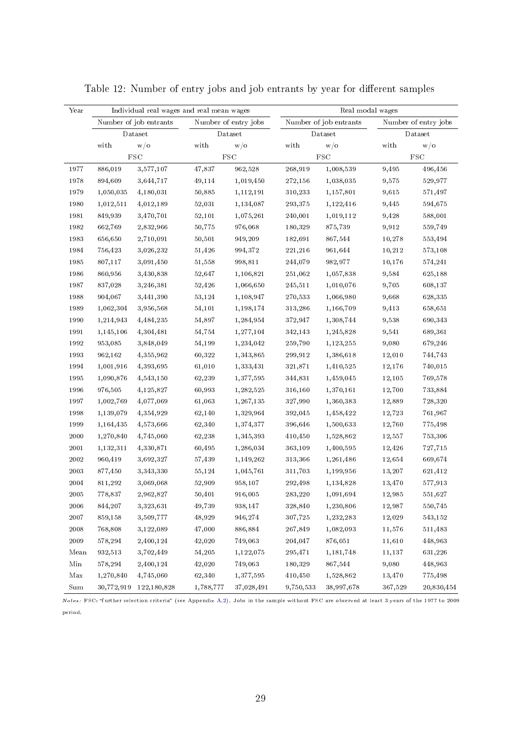<span id="page-28-0"></span>

| Year         | Individual real wages and real mean wages |                        |            | Real modal wages     |                                   |            |                      |                   |  |
|--------------|-------------------------------------------|------------------------|------------|----------------------|-----------------------------------|------------|----------------------|-------------------|--|
|              |                                           | Number of job entrants |            | Number of entry jobs | Number of job entrants<br>Dataset |            | Number of entry jobs |                   |  |
|              |                                           | Dataset                | Dataset    |                      |                                   |            |                      | Dataset           |  |
|              | with                                      | w/0                    | with       | W/0                  | with                              | W/0        | with                 | W/0               |  |
|              |                                           | $_{\mathrm{FSC}}$      | <b>FSC</b> |                      |                                   | <b>FSC</b> |                      | $_{\mathrm{FSC}}$ |  |
| 1977         | 886,019                                   | 3,577,107              | 47,837     | 962,528              | 268,919                           | 1,008,539  | 9,495                | 496,456           |  |
| 1978         | 894,609                                   | 3,644,717              | 49,114     | 1,019,450            | 272,156                           | 1,038,035  | 9,575                | 529,977           |  |
| 1979         | 1,050,035                                 | 4,180,031              | 50,885     | 1,112,191            | 310,233                           | 1,157,801  | 9,615                | 571,497           |  |
| 1980         | 1,012,511                                 | 4,012,189              | 52,031     | 1,134,087            | 293,375                           | 1,122,416  | 9,445                | 594,675           |  |
| 1981         | 849,939                                   | 3,470,701              | 52,101     | 1,075,261            | 240,001                           | 1,019,112  | 9,428                | 588,001           |  |
| 1982         | 662,769                                   | 2,832,966              | 50,775     | 976,068              | 180,329                           | 875,739    | 9,912                | 559,749           |  |
| 1983         | 656,650                                   | 2,710,091              | 50,501     | 949,209              | 182,691                           | 867,544    | 10,278               | 553,494           |  |
| 1984         | 756,423                                   | 3,026,232              | 51,426     | 994,372              | 221,216                           | 961,644    | 10,212               | 573,108           |  |
| 1985         | 807,117                                   | 3,091,450              | 51,558     | 998,811              | 244,079                           | 982,977    | 10,176               | 574,241           |  |
| 1986         | 860,956                                   | 3,430,838              | 52,647     | 1,106,821            | 251,062                           | 1,057,838  | 9,584                | 625,188           |  |
| 1987         | 837,028                                   | 3,246,381              | 52,426     | 1,066,650            | 245,511                           | 1,010,076  | 9,705                | 608,137           |  |
| 1988         | 904,067                                   | 3,441,390              | 53,124     | 1,108,947            | 270,533                           | 1,066,980  | 9,668                | 628,335           |  |
| 1989         | 1,062,304                                 | 3,956,568              | 54,101     | 1,198,174            | 313,286                           | 1,166,709  | 9,413                | 658,651           |  |
| 1990         | 1,214,943                                 | 4,484,235              | 54,897     | 1,284,954            | 372,947                           | 1,308,744  | 9,538                | 690,343           |  |
| 1991         | 1,145,106                                 | 4,304,481              | 54,754     | 1,277,104            | 342,143                           | 1,245,828  | 9,541                | 689,361           |  |
| 1992         | 953,085                                   | 3,848,049              | 54,199     | 1,234,042            | 259,790                           | 1,123,255  | 9,080                | 679,246           |  |
| 1993         | 962,162                                   | 4, 355, 962            | 60,322     | 1,343,865            | 299,912                           | 1,386,618  | 12,010               | 744,743           |  |
| 1994         | 1,001,916                                 | 4,393,695              | 61,010     | 1,333,431            | 321,871                           | 1,410,525  | 12,176               | 740,015           |  |
| 1995         | 1,090,876                                 | 4,543,150              | 62,239     | 1,377,595            | 344,831                           | 1,459,045  | 12,105               | 769,578           |  |
| 1996         | 976,505                                   | 4, 125, 827            | 60,993     | 1,282,525            | 316,160                           | 1,370,161  | 12,700               | 733,884           |  |
| 1997         | 1,002,769                                 | 4,077,069              | 61,063     | 1,267,135            | 327,990                           | 1,360,383  | 12,889               | 728,320           |  |
| 1998         | 1,139,079                                 | 4,354,929              | 62,140     | 1,329,964            | 392,045                           | 1,458,422  | 12,723               | 761,967           |  |
| 1999         | 1,164,435                                 | 4,573,666              | 62,340     | 1,374,377            | 396,646                           | 1,500,633  | 12,760               | 775,498           |  |
| 2000         | 1,270,840                                 | 4,745,060              | 62,238     | 1,345,393            | 410,450                           | 1,528,862  | 12,557               | 753,306           |  |
| 2001         | 1,132,311                                 | 4,330,871              | 60,495     | 1,286,034            | 363,109                           | 1,400,595  | 12,426               | 727,715           |  |
| 2002         | 960,419                                   | 3,692,327              | 57,439     | 1,149,262            | 313,366                           | 1,261,486  | 12,654               | 669,674           |  |
| 2003         | 877,450                                   | 3,343,330              | 55,124     | 1,045,761            | 311,703                           | 1,199,956  | 13,207               | 621,412           |  |
| 2004         | 811,292                                   | 3,069,068              | 52,909     | 958,107              | 292,498                           | 1,134,828  | 13,470               | 577,913           |  |
| 2005         | 778,837                                   | 2,962,827              | 50,401     | 916,005              | 283,220                           | 1,091,694  | 12,985               | 551,627           |  |
| 2006         | 844,207                                   | 3,323,631              | 49,739     | 938,147              | 328,840                           | 1,230,806  | 12,987               | 550,745           |  |
| 2007         | $859,\!158$                               | 3,509,777              | 48,929     | 946,274              | 307,725                           | 1,232,283  | 12,029               | 543,152           |  |
| 2008         | 768,808                                   | 3,122,089              | 47,000     | 886,884              | 267,849                           | 1,082,093  | 11,576               | 511,483           |  |
| 2009         | 578,294                                   | 2,400,124              | 42,020     | 749,063              | 204,047                           | 876,051    | 11,610               | 448,963           |  |
| Mean         | 932,513                                   | 3,702,449              | 54,205     | 1,122,075            | 295,471                           | 1,181,748  | 11,137               | 631,226           |  |
| Min          | 578,294                                   | 2,400,124              | 42,020     | 749,063              | 180,329                           | 867,544    | 9,080                | 448,963           |  |
| $_{\rm Max}$ | 1,270,840                                 | 4,745,060              | 62,340     | 1,377,595            | 410,450                           | 1,528,862  | 13,470               | 775,498           |  |
| Sum          | 30,772,919                                | 122,180,828            | 1,788,777  | 37,028,491           | 9,750,533                         | 38,997,678 | 367,529              | 20,830,454        |  |

Table 12: Number of entry jobs and job entrants by year for different samples

Notes: FSC: further selection criteria (see Appendix [A.2\)](#page-25-0). Jobs in the sample without FSC are observed at least 3 years of the 1977 to 2009 period.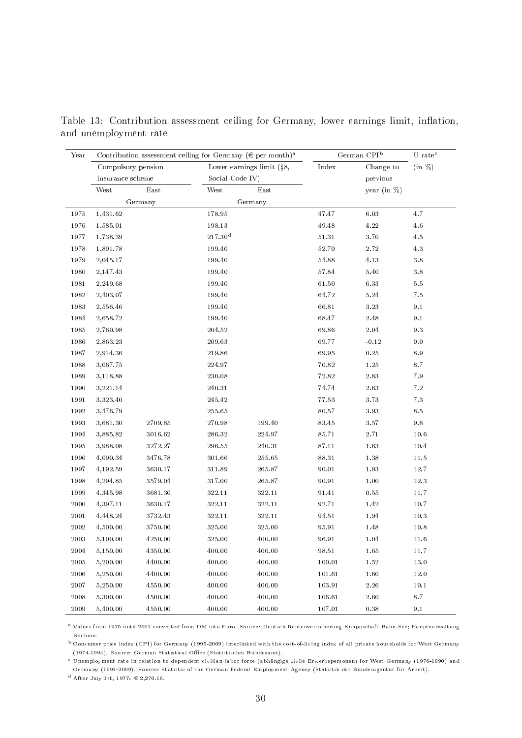| Year          | Contribution assessment ceiling for Germany ( $\in$ per month) <sup>a</sup> |             |                           | German CPI <sup>b</sup> |        | $U$ rate <sup>c</sup> |           |
|---------------|-----------------------------------------------------------------------------|-------------|---------------------------|-------------------------|--------|-----------------------|-----------|
|               | Compulsory pension                                                          |             | Lower earnings limit (§8, |                         | Index  | Change to             | $(in \%)$ |
|               | insurance scheme                                                            |             | Social Code IV)           |                         |        | previous              |           |
|               | West                                                                        | East        | West                      | East                    |        | year (in $%$ )        |           |
|               |                                                                             | Germany     |                           | Germany                 |        |                       |           |
| 1975          | 1,431.62                                                                    |             | 178.95                    |                         | 47.47  | 6.03                  | 4.7       |
| 1976          | 1,585.01                                                                    |             | 198.13                    |                         | 49.48  | $4.22\,$              | 4.6       |
| 1977          | 1,738.39                                                                    |             | 217.30 <sup>d</sup>       |                         | 51.31  | 3.70                  | $4.5\,$   |
| 1978          | 1,891.78                                                                    |             | 199.40                    |                         | 52.70  | 2.72                  | 4.3       |
| 1979          | 2,045.17                                                                    |             | 199.40                    |                         | 54.88  | 4.13                  | $3.8\,$   |
| 1980          | 2,147.43                                                                    |             | 199.40                    |                         | 57.84  | $5\,.40$              | $3.8\,$   |
| 1981          | 2,249.68                                                                    |             | 199.40                    |                         | 61.50  | 6.33                  | $5.5\,$   |
| 1982          | 2,403.07                                                                    |             | 199.40                    |                         | 64.72  | 5.24                  | 7.5       |
| 1983          | 2,556.46                                                                    |             | 199.40                    |                         | 66.81  | 3.23                  | 9.1       |
| 1984          | 2,658.72                                                                    |             | 199.40                    |                         | 68.47  | $2\,\,48$             | 9.1       |
| 1985          | 2,760.98                                                                    |             | $\boldsymbol{204.52}$     |                         | 69.86  | 2.04                  | $9.3\,$   |
| 1986          | 2,863.23                                                                    |             | 209.63                    |                         | 69.77  | $-0.12$               | $9.0\,$   |
| 1987          | 2,914.36                                                                    |             | 219.86                    |                         | 69.95  | $\rm 0.25$            | $8.9\,$   |
| 1988          | 3,067.75                                                                    |             | 224.97                    |                         | 70.82  | 1.25                  | 8.7       |
| 1989          | 3,118.88                                                                    |             | 230.08                    |                         | 72.82  | $2\ 83$               | $7.9\,$   |
| 1990          | 3,221.14                                                                    |             | 240.31                    |                         | 74.74  | 2.63                  | $7.2\,$   |
| 1991          | 3,323.40                                                                    |             | 245.42                    |                         | 77.53  | 3.73                  | 7.3       |
| 1992          | 3,476.79                                                                    |             | 255.65                    |                         | 80.57  | 3.93                  | $8.5\,$   |
| 1993          | 3,681.30                                                                    | 2709.85     | 270.98                    | 199.40                  | 83.45  | $3\ 57$               | $9.8\,$   |
| 1994          | 3,885.82                                                                    | 3016.62     | 286.32                    | 224.97                  | 85.71  | $2.71\,$              | 10.6      |
| 1995          | 3,988.08                                                                    | 3272.27     | 296.55                    | 240.31                  | 87.11  | 1.63                  | 10.4      |
| 1996          | 4,090.34                                                                    | 3476.78     | 301.66                    | 255.65                  | 88.31  | 1.38                  | 11.5      |
| 1997          | 4,192.59                                                                    | 3630.17     | 311.89                    | 265.87                  | 90.01  | 1.93                  | 12.7      |
| 1998          | 4,294.85                                                                    | 3579.04     | 317.00                    | 265.87                  | 90.91  | 1.00                  | 12.3      |
| 1999          | 4,345.98                                                                    | 3681.30     | 322.11                    | 322.11                  | 91.41  | 0.55                  | 11.7      |
| 2000          | 4,397.11                                                                    | 3630.17     | 322.11                    | 322.11                  | 92.71  | 1.42                  | 10.7      |
| 2001          | 4,448.24                                                                    | 3732.43     | 322.11                    | 322.11                  | 94.51  | 1.94                  | $10.3\,$  |
| 2002          | 4,500.00                                                                    | 3750.00     | 325.00                    | 325.00                  | 95.91  | 1.48                  | 10.8      |
| $200\sqrt{3}$ | 5,100.00                                                                    | $4250.00\,$ | 325.00                    | $400.00\,$              | 96.91  | $1\,\mathbf{.04}$     | $11.6\,$  |
| 2004          | 5,150.00                                                                    | 4350.00     | 400.00                    | 400.00                  | 98.51  | $1.65\,$              | 11.7      |
| $2005\,$      | 5,200.00                                                                    | 4400.00     | 400.00                    | 400.00                  | 100.01 | 1.52                  | 13.0      |
| 2006          | 5,250.00                                                                    | 4400.00     | 400.00                    | 400.00                  | 101.61 | 1.60                  | 12.0      |
| 2007          | 5,250.00                                                                    | 4550.00     | 400.00                    | 400.00                  | 103.91 | $2.26\,$              | 10.1      |
| 2008          | 5,300.00                                                                    | 4500.00     | 400.00                    | 400.00                  | 106.61 | 2.60                  | 8.7       |
| 2009          | 5,400.00                                                                    | 4550.00     | 400.00                    | 400.00                  | 107.01 | 0.38                  | $9.1\,$   |

<span id="page-29-0"></span>Table 13: Contribution assessment ceiling for Germany, lower earnings limit, inflation, and unemployment rate

<sup>a</sup> Values from 1975 until 2001 converted from DM into Euro. Source: Deutsch Rentenversicherung Knappschaft-Bahn-See; Hauptverwaltung Bochum.

<sup>b</sup> Consumer price index (CPI) for Germany (1995-2009) interlinked with the cost-of-living index of all private households for West Germany (1974-1994). Source: German Statistical Office (Statistisches Bundesamt).

<sup>c</sup> Unemployment rate in relation to dependent civilian labor force (abhängige zivile Erwerbspersonen) for West Germany (1976-1990) and

Germany (1991-2009). Source: Statistic of the German Federal Employment Agency (Statistik der Bundesagentur für Arbeit).

d After July 1st, 1977:  $\in$  2,270.16.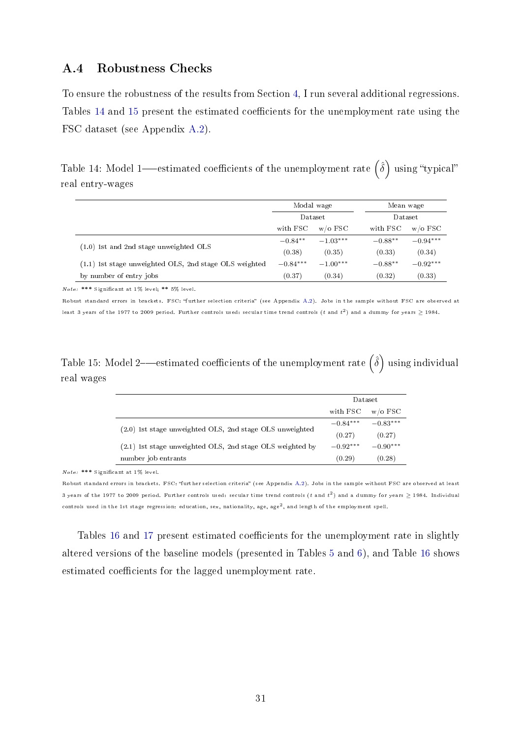#### <span id="page-30-0"></span>A.4 Robustness Checks

To ensure the robustness of the results from Section [4,](#page-9-0) I run several additional regressions. Tables [14](#page-30-1) and [15](#page-30-2) present the estimated coefficients for the unemployment rate using the FSC dataset (see Appendix [A.2\)](#page-25-0).

<span id="page-30-1"></span>Table 14: Model 1—estimated coefficients of the unemployment rate  $\hat{(\delta)}$  using "typical" real entry-wages

|                                                          | Modal wage<br>Dataset<br>with FSC<br>$w$ /o FSC |            | Mean wage<br>Dataset |            |
|----------------------------------------------------------|-------------------------------------------------|------------|----------------------|------------|
|                                                          |                                                 |            |                      |            |
|                                                          |                                                 |            | with FSC             | $w$ /o FSC |
|                                                          | $-0.84**$                                       | $-1.03***$ | $-0.88**$            | $-0.94***$ |
| $(1.0)$ 1st and 2nd stage unweighted OLS                 | (0.38)                                          | (0.35)     | (0.33)               | (0.34)     |
| $(1.1)$ 1st stage unweighted OLS, 2nd stage OLS weighted | $-0.84***$                                      | $-1.00***$ | $-0.88**$            | $-0.92***$ |
| by number of entry jobs                                  | (0.37)                                          | (0.34)     | (0.32)               | (0.33)     |

Note: \*\*\* Signicant at 1% level; \*\* 5% level.

Robust standard errors in brackets. FSC: "further selection criteria" (see Appendix [A.2\)](#page-25-0). Jobs in the sample without FSC are observed at least 3 years of the 1977 to 2009 period. Further controls used: secular time trend controls ( $t$  and  $t^2)$  and a dummy for years  $\geq$  1984.

## <span id="page-30-2"></span>Table 15: Model 2—estimated coefficients of the unemployment rate  $\big(\hat{\delta}\big)$  using individual real wages

|                                                           | Dataset    |            |
|-----------------------------------------------------------|------------|------------|
|                                                           | with FSC   | $w/o$ FSC  |
|                                                           | $-0.84***$ | $-0.83***$ |
| (2.0) 1st stage unweighted OLS, 2nd stage OLS unweighted  | (0.27)     | (0.27)     |
| (2.1) 1st stage unweighted OLS, 2nd stage OLS weighted by | $-0.92***$ | $-0.90***$ |
| number job entrants                                       | (0.29)     | (0.28)     |

Note: \*\*\* Signicant at 1% level.

Robust standard errors in brackets. FSC: "further selection criteria" (see Appendix [A.2\)](#page-25-0). Jobs in the sample without FSC are observed at least 3 years of the 1977 to 2009 period. Further controls used: secular time trend controls (t and  $t^2$ ) and a dummy for years  $\geq$  1984. Individual controls used in the 1st stage regression: education, sex, nationality, age, age<sup>2</sup>, and length of the employment spell.

Tables [16](#page-31-0) and [17](#page-32-0) present estimated coefficients for the unemployment rate in slightly altered versions of the baseline models (presented in Tables [5](#page-12-0) and [6\)](#page-13-0), and Table [16](#page-31-0) shows estimated coefficients for the lagged unemployment rate.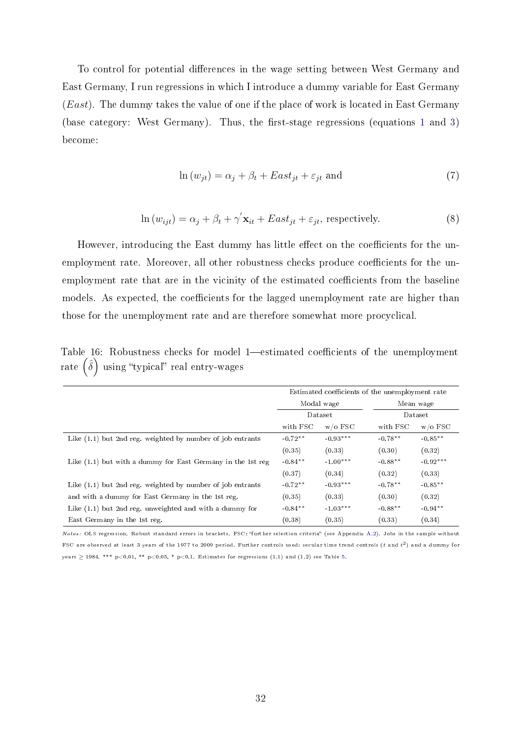To control for potential differences in the wage setting between West Germany and East Germany, I run regressions in which I introduce a dummy variable for East Germany  $(East)$ . The dummy takes the value of one if the place of work is located in East Germany (base category: West Germany). Thus, the first-stage regressions (equations [1](#page-9-3) and [3\)](#page-10-1) become:

$$
\ln(w_{jt}) = \alpha_j + \beta_t + East_{jt} + \varepsilon_{jt} \text{ and } \tag{7}
$$

$$
\ln(w_{ijt}) = \alpha_j + \beta_t + \gamma' \mathbf{x}_{it} + East_{jt} + \varepsilon_{jt}, \text{ respectively.}
$$
\n(8)

However, introducing the East dummy has little effect on the coefficients for the unemployment rate. Moreover, all other robustness checks produce coefficients for the unemployment rate that are in the vicinity of the estimated coefficients from the baseline models. As expected, the coefficients for the lagged unemployment rate are higher than those for the unemployment rate and are therefore somewhat more procyclical.

<span id="page-31-0"></span>Table 16: Robustness checks for model 1-estimated coefficients of the unemployment rate  $\left(\hat{\delta}\right)$  using "typical" real entry-wages

|                                                              | Estimated coefficients of the unemployment rate |            |           |            |  |
|--------------------------------------------------------------|-------------------------------------------------|------------|-----------|------------|--|
|                                                              | Modal wage                                      |            |           | Mean wage  |  |
|                                                              | Dataset                                         |            | Dataset   |            |  |
|                                                              | with FSC<br>$w/o$ FSC                           |            | with FSC  | $w/0$ FSC  |  |
| Like (1.1) but 2nd reg. weighted by number of job entrants   | $-0.72**$                                       | $-0.93***$ | $-0.78**$ | $-0.85**$  |  |
|                                                              | (0.35)                                          | (0.33)     | (0.30)    | (0.32)     |  |
| Like (1.1) but with a dummy for East Germany in the 1st reg  | $-0.84**$                                       | $-1.00***$ | $-0.88**$ | $-0.92***$ |  |
|                                                              | (0.37)                                          | (0.34)     | (0.32)    | (0.33)     |  |
| Like $(1.1)$ but 2nd reg. weighted by number of job entrants | $-0.72**$                                       | $-0.93***$ | $-0.78**$ | $-0.85**$  |  |
| and with a dummy for East Germany in the 1st reg.            | (0.35)                                          | (0.33)     | (0.30)    | (0.32)     |  |
| Like $(1.1)$ but 2nd reg. unweighted and with a dummy for    | $-0.84***$                                      | $-1.03***$ | $-0.88**$ | $-0.94**$  |  |
| East Germany in the 1st reg.                                 | (0.38)                                          | (0.35)     | (0.33)    | (0.34)     |  |

Notes: OLS regression. Robust standard errors in brackets. FSC: "further selection criteria" (see Appendix [A.2\)](#page-25-0). Jobs in the sample without FSC are observed at least 3 years of the 1977 to 2009 period. Further controls used: secular time trend controls  $(t$  and  $t^2)$  and a dummy for years  $>$  1984. \*\*\* p<0.01, \*\* p<0.05, \* p<0.1. Estimates for regressions (1.1) and (1.2) see Table [5.](#page-12-0)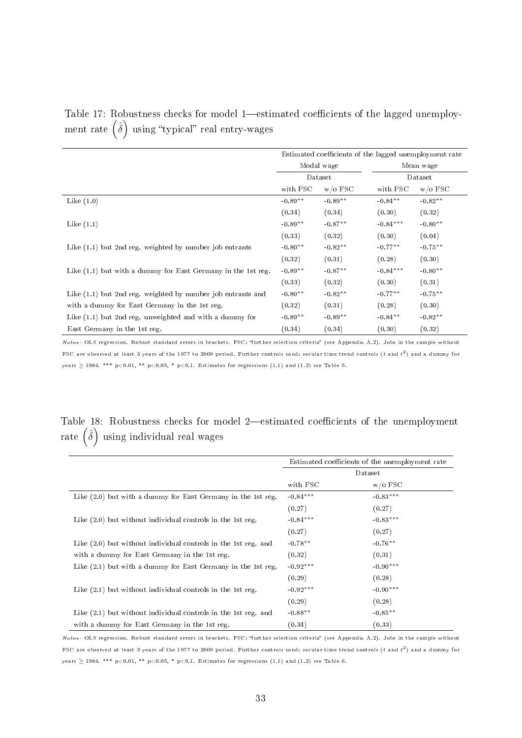<span id="page-32-0"></span>

| Table 17: Robustness checks for model 1—estimated coefficients of the lagged unemploy- |  |  |
|----------------------------------------------------------------------------------------|--|--|
| ment rate $(\hat{\delta})$ using "typical" real entry-wages                            |  |  |

|                                                              | Estimated coefficients of the lagged unemployment rate |           |            |            |
|--------------------------------------------------------------|--------------------------------------------------------|-----------|------------|------------|
|                                                              | Modal wage<br>Dataset                                  |           |            | Mean wage  |
|                                                              |                                                        |           | Dataset    |            |
|                                                              | with FSC                                               | $w/0$ FSC | with FSC   | $w/o$ FSC  |
| Like $(1.0)$                                                 | $-0.89**$                                              | $-0.89**$ | $-0.84***$ | $-0.82**$  |
|                                                              | (0.34)                                                 | (0.34)    | (0.30)     | (0.32)     |
| Like $(1.1)$                                                 | $-0.89**$                                              | $-0.87**$ | $-0.84***$ | $-0.80**$  |
|                                                              | (0.33)                                                 | (0.32)    | (0.30)     | (0.04)     |
| Like $(1.1)$ but 2nd reg. weighted by number job entrants    | $-0.80**$                                              | $-0.82**$ | $-0.77**$  | $-0.75***$ |
|                                                              | (0.32)                                                 | (0.31)    | (0.28)     | (0.30)     |
| Like (1.1) but with a dummy for East Germany in the 1st reg. | $-0.89**$                                              | $-0.87**$ | $-0.84***$ | $-0.80**$  |
|                                                              | (0.33)                                                 | (0.32)    | (0.30)     | (0.31)     |
| Like (1.1) but 2nd reg. weighted by number job entrants and  | $-0.80**$                                              | $-0.82**$ | $-0.77***$ | $-0.75***$ |
| with a dummy for East Germany in the 1st reg.                | (0.32)                                                 | (0.31)    | (0.28)     | (0.30)     |
| Like (1.1) but 2nd reg. unweighted and with a dummy for      | $-0.89**$                                              | $-0.89**$ | $-0.84**$  | $-0.82**$  |
| East Germany in the 1st reg.                                 | (0.34)                                                 | (0.34)    | (0.30)     | (0.32)     |

Notes: OLS regression. Robust standard errors in brackets. FSC: "further selection criteria" (see Appendix [A.2\)](#page-25-0). Jobs in the sample without FSC are observed at least 3 years of the 1977 to 2009 period. Further controls used: secular time trend controls  $(t$  and  $t^2)$  and a dummy for years  $\geq$  1984. \*\*\* p<0.01, \*\* p<0.05, \* p<0.1. Estimates for regressions (1.1) and (1.2) see Table [5.](#page-12-0)

### <span id="page-32-1"></span>Table 18: Robustness checks for model 2-estimated coefficients of the unemployment rate  $\left(\hat{\delta}\right)$  using individual real wages

|                                                                  | Estimated coefficients of the unemployment rate |            |  |
|------------------------------------------------------------------|-------------------------------------------------|------------|--|
|                                                                  | Dataset                                         |            |  |
|                                                                  | with FSC                                        | $w/0$ FSC  |  |
| Like $(2.0)$ but with a dummy for East Germany in the 1st reg.   | $-0.84***$                                      | $-0.83***$ |  |
|                                                                  | (0.27)                                          | (0.27)     |  |
| Like $(2.0)$ but without individual controls in the 1st reg.     | $-0.84***$                                      | $-0.83***$ |  |
|                                                                  | (0.27)                                          | (0.27)     |  |
| Like (2.0) but without individual controls in the 1st reg. and   | $-0.78**$                                       | $-0.76**$  |  |
| with a dummy for East Germany in the 1st reg.                    | (0.32)                                          | (0.31)     |  |
| Like $(2.1)$ but with a dummy for East Germany in the 1st reg.   | $-0.92***$                                      | $-0.90***$ |  |
|                                                                  | (0.29)                                          | (0.28)     |  |
| Like $(2.1)$ but without individual controls in the 1st reg.     | $-0.92***$                                      | $-0.90***$ |  |
|                                                                  | (0.29)                                          | (0.28)     |  |
| Like $(2.1)$ but without individual controls in the 1st reg. and | $-0.88**$                                       | $-0.85***$ |  |
| with a dummy for East Germany in the 1st reg.                    | (0.34)                                          | (0.33)     |  |

Notes: OLS regression. Robust standard errors in brackets. FSC: "further selection criteria" (see Appendix [A.2\)](#page-25-0). Jobs in the sample without FSC are observed at least 3 years of the 1977 to 2009 period. Further controls used: secular time trend controls  $(t$  and  $t^2)$  and a dummy for years  $\geq$  1984. \*\*\* p<0.01, \*\* p<0.05, \* p<0.1. Estimates for regressions (1.1) and (1.2) see Table [6.](#page-13-0)